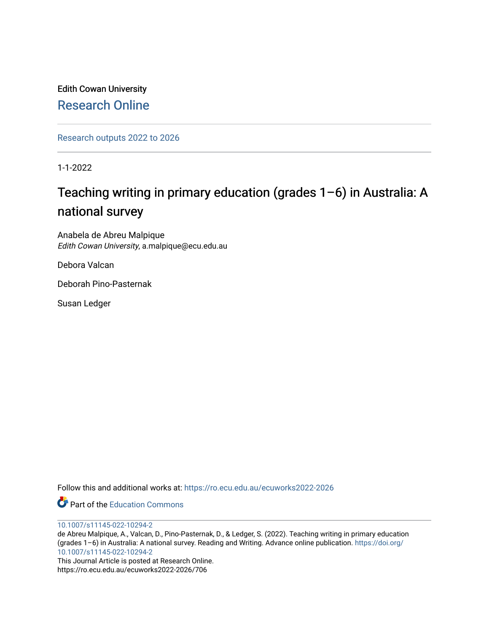Edith Cowan University [Research Online](https://ro.ecu.edu.au/) 

[Research outputs 2022 to 2026](https://ro.ecu.edu.au/ecuworks2022-2026) 

1-1-2022

# Teaching writing in primary education (grades  $1-6$ ) in Australia: A national survey

Anabela de Abreu Malpique Edith Cowan University, a.malpique@ecu.edu.au

Debora Valcan

Deborah Pino-Pasternak

Susan Ledger

Follow this and additional works at: [https://ro.ecu.edu.au/ecuworks2022-2026](https://ro.ecu.edu.au/ecuworks2022-2026?utm_source=ro.ecu.edu.au%2Fecuworks2022-2026%2F706&utm_medium=PDF&utm_campaign=PDFCoverPages)

Part of the [Education Commons](https://network.bepress.com/hgg/discipline/784?utm_source=ro.ecu.edu.au%2Fecuworks2022-2026%2F706&utm_medium=PDF&utm_campaign=PDFCoverPages)

[10.1007/s11145-022-10294-2](http://dx.doi.org/10.1007/s11145-022-10294-2)

de Abreu Malpique, A., Valcan, D., Pino-Pasternak, D., & Ledger, S. (2022). Teaching writing in primary education (grades 1–6) in Australia: A national survey. Reading and Writing. Advance online publication. [https://doi.org/](https://doi.org/10.1007/s11145-022-10294-2) [10.1007/s11145-022-10294-2](https://doi.org/10.1007/s11145-022-10294-2)

This Journal Article is posted at Research Online. https://ro.ecu.edu.au/ecuworks2022-2026/706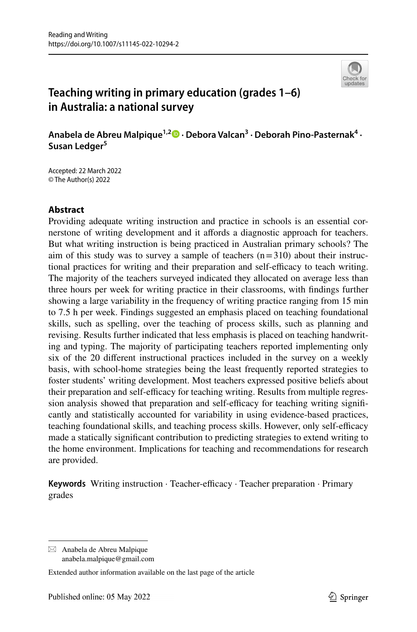

## **Teaching writing in primary education (grades 1–6) in Australia: a national survey**

**Anabela de Abreu Malpique1,[2](http://orcid.org/0000-0002-1683-9906) · Debora Valcan3 · Deborah Pino‑Pasternak4 · Susan Ledger<sup>5</sup>**

Accepted: 22 March 2022 © The Author(s) 2022

## **Abstract**

Providing adequate writing instruction and practice in schools is an essential cornerstone of writing development and it afords a diagnostic approach for teachers. But what writing instruction is being practiced in Australian primary schools? The aim of this study was to survey a sample of teachers  $(n=310)$  about their instructional practices for writing and their preparation and self-efficacy to teach writing. The majority of the teachers surveyed indicated they allocated on average less than three hours per week for writing practice in their classrooms, with fndings further showing a large variability in the frequency of writing practice ranging from 15 min to 7.5 h per week. Findings suggested an emphasis placed on teaching foundational skills, such as spelling, over the teaching of process skills, such as planning and revising. Results further indicated that less emphasis is placed on teaching handwriting and typing. The majority of participating teachers reported implementing only six of the 20 diferent instructional practices included in the survey on a weekly basis, with school-home strategies being the least frequently reported strategies to foster students' writing development. Most teachers expressed positive beliefs about their preparation and self-efficacy for teaching writing. Results from multiple regression analysis showed that preparation and self-efficacy for teaching writing significantly and statistically accounted for variability in using evidence-based practices, teaching foundational skills, and teaching process skills. However, only self-efficacy made a statically signifcant contribution to predicting strategies to extend writing to the home environment. Implications for teaching and recommendations for research are provided.

**Keywords** Writing instruction · Teacher-efficacy · Teacher preparation · Primary grades

 $\boxtimes$  Anabela de Abreu Malpique anabela.malpique@gmail.com

Extended author information available on the last page of the article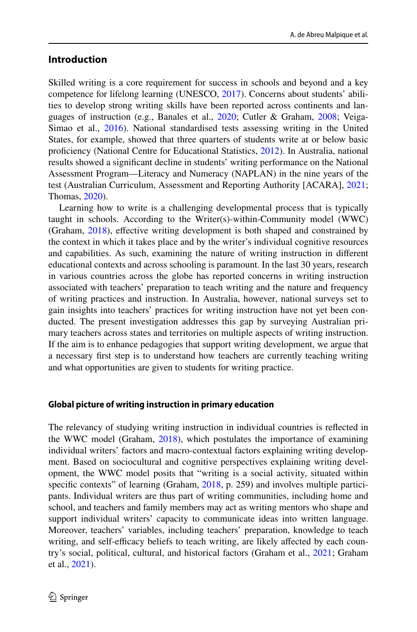## **Introduction**

Skilled writing is a core requirement for success in schools and beyond and a key competence for lifelong learning (UNESCO, [2017\)](#page-26-0). Concerns about students' abilities to develop strong writing skills have been reported across continents and languages of instruction (e.g., Banales et al., [2020](#page-24-0); Cutler & Graham, [2008](#page-24-1); Veiga-Simao et al., [2016\)](#page-26-1). National standardised tests assessing writing in the United States, for example, showed that three quarters of students write at or below basic profciency (National Centre for Educational Statistics, [2012\)](#page-26-2). In Australia, national results showed a signifcant decline in students' writing performance on the National Assessment Program—Literacy and Numeracy (NAPLAN) in the nine years of the test (Australian Curriculum, Assessment and Reporting Authority [ACARA], [2021;](#page-24-2) Thomas, [2020](#page-26-3)).

Learning how to write is a challenging developmental process that is typically taught in schools. According to the Writer(s)-within-Community model (WWC) (Graham, [2018\)](#page-25-0), effective writing development is both shaped and constrained by the context in which it takes place and by the writer's individual cognitive resources and capabilities. As such, examining the nature of writing instruction in diferent educational contexts and across schooling is paramount. In the last 30 years, research in various countries across the globe has reported concerns in writing instruction associated with teachers' preparation to teach writing and the nature and frequency of writing practices and instruction. In Australia, however, national surveys set to gain insights into teachers' practices for writing instruction have not yet been conducted. The present investigation addresses this gap by surveying Australian primary teachers across states and territories on multiple aspects of writing instruction. If the aim is to enhance pedagogies that support writing development, we argue that a necessary frst step is to understand how teachers are currently teaching writing and what opportunities are given to students for writing practice.

#### **Global picture of writing instruction in primary education**

The relevancy of studying writing instruction in individual countries is refected in the WWC model (Graham, [2018](#page-25-0)), which postulates the importance of examining individual writers' factors and macro-contextual factors explaining writing development. Based on sociocultural and cognitive perspectives explaining writing development, the WWC model posits that "writing is a social activity, situated within specific contexts" of learning (Graham, [2018,](#page-25-0) p. 259) and involves multiple participants. Individual writers are thus part of writing communities, including home and school, and teachers and family members may act as writing mentors who shape and support individual writers' capacity to communicate ideas into written language. Moreover, teachers' variables, including teachers' preparation, knowledge to teach writing, and self-efficacy beliefs to teach writing, are likely affected by each country's social, political, cultural, and historical factors (Graham et al., [2021](#page-25-1); Graham et al., [2021](#page-25-2)).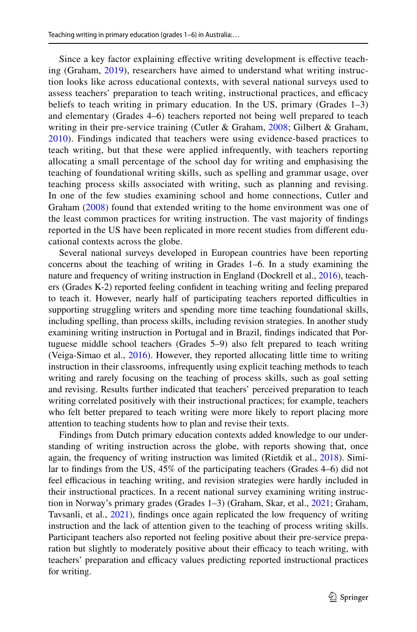Since a key factor explaining effective writing development is effective teaching (Graham, [2019\)](#page-25-3), researchers have aimed to understand what writing instruction looks like across educational contexts, with several national surveys used to assess teachers' preparation to teach writing, instructional practices, and efficacy beliefs to teach writing in primary education. In the US, primary (Grades 1–3) and elementary (Grades 4–6) teachers reported not being well prepared to teach writing in their pre-service training (Cutler & Graham, [2008;](#page-24-1) Gilbert & Graham, [2010\)](#page-24-3). Findings indicated that teachers were using evidence-based practices to teach writing, but that these were applied infrequently, with teachers reporting allocating a small percentage of the school day for writing and emphasising the teaching of foundational writing skills, such as spelling and grammar usage, over teaching process skills associated with writing, such as planning and revising. In one of the few studies examining school and home connections, Cutler and Graham ([2008](#page-24-1)) found that extended writing to the home environment was one of the least common practices for writing instruction. The vast majority of fndings reported in the US have been replicated in more recent studies from diferent educational contexts across the globe.

Several national surveys developed in European countries have been reporting concerns about the teaching of writing in Grades 1–6. In a study examining the nature and frequency of writing instruction in England (Dockrell et al., [2016\)](#page-24-4), teachers (Grades K-2) reported feeling confdent in teaching writing and feeling prepared to teach it. However, nearly half of participating teachers reported difculties in supporting struggling writers and spending more time teaching foundational skills, including spelling, than process skills, including revision strategies. In another study examining writing instruction in Portugal and in Brazil, fndings indicated that Portuguese middle school teachers (Grades 5–9) also felt prepared to teach writing (Veiga-Simao et al., [2016](#page-26-1)). However, they reported allocating little time to writing instruction in their classrooms, infrequently using explicit teaching methods to teach writing and rarely focusing on the teaching of process skills, such as goal setting and revising. Results further indicated that teachers' perceived preparation to teach writing correlated positively with their instructional practices; for example, teachers who felt better prepared to teach writing were more likely to report placing more attention to teaching students how to plan and revise their texts.

Findings from Dutch primary education contexts added knowledge to our understanding of writing instruction across the globe, with reports showing that, once again, the frequency of writing instruction was limited (Rietdik et al., [2018](#page-26-4)). Similar to fndings from the US, 45% of the participating teachers (Grades 4–6) did not feel efficacious in teaching writing, and revision strategies were hardly included in their instructional practices. In a recent national survey examining writing instruction in Norway's primary grades (Grades 1–3) (Graham, Skar, et al., [2021](#page-25-1); Graham, Tavsanli, et al., [2021](#page-25-2)), fndings once again replicated the low frequency of writing instruction and the lack of attention given to the teaching of process writing skills. Participant teachers also reported not feeling positive about their pre-service preparation but slightly to moderately positive about their efficacy to teach writing, with teachers' preparation and efficacy values predicting reported instructional practices for writing.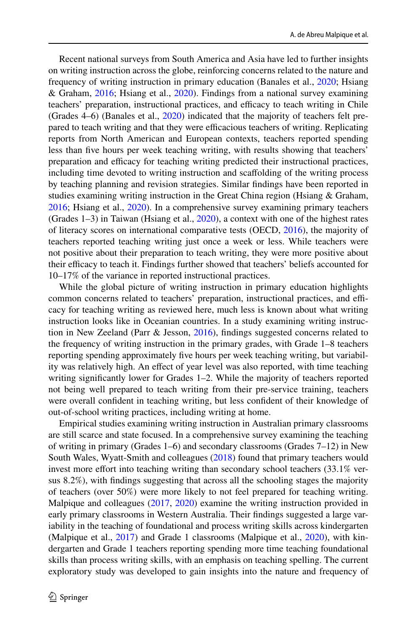Recent national surveys from South America and Asia have led to further insights on writing instruction across the globe, reinforcing concerns related to the nature and frequency of writing instruction in primary education (Banales et al., [2020](#page-24-0); Hsiang & Graham, [2016](#page-25-4); Hsiang et al., [2020\)](#page-25-5). Findings from a national survey examining teachers' preparation, instructional practices, and efficacy to teach writing in Chile (Grades 4–6) (Banales et al., [2020](#page-24-0)) indicated that the majority of teachers felt prepared to teach writing and that they were efficacious teachers of writing. Replicating reports from North American and European contexts, teachers reported spending less than five hours per week teaching writing, with results showing that teachers' preparation and efficacy for teaching writing predicted their instructional practices, including time devoted to writing instruction and scafolding of the writing process by teaching planning and revision strategies. Similar fndings have been reported in studies examining writing instruction in the Great China region (Hsiang & Graham, [2016](#page-25-4); Hsiang et al., [2020](#page-25-5)). In a comprehensive survey examining primary teachers (Grades 1–3) in Taiwan (Hsiang et al., [2020](#page-25-5)), a context with one of the highest rates of literacy scores on international comparative tests (OECD, [2016\)](#page-26-5), the majority of teachers reported teaching writing just once a week or less. While teachers were not positive about their preparation to teach writing, they were more positive about their efficacy to teach it. Findings further showed that teachers' beliefs accounted for 10–17% of the variance in reported instructional practices.

While the global picture of writing instruction in primary education highlights common concerns related to teachers' preparation, instructional practices, and efficacy for teaching writing as reviewed here, much less is known about what writing instruction looks like in Oceanian countries. In a study examining writing instruction in New Zeeland (Parr & Jesson, [2016](#page-26-6)), fndings suggested concerns related to the frequency of writing instruction in the primary grades, with Grade 1–8 teachers reporting spending approximately fve hours per week teaching writing, but variability was relatively high. An effect of year level was also reported, with time teaching writing significantly lower for Grades 1–2. While the majority of teachers reported not being well prepared to teach writing from their pre-service training, teachers were overall confdent in teaching writing, but less confdent of their knowledge of out-of-school writing practices, including writing at home.

Empirical studies examining writing instruction in Australian primary classrooms are still scarce and state focused. In a comprehensive survey examining the teaching of writing in primary (Grades 1–6) and secondary classrooms (Grades 7–12) in New South Wales, Wyatt-Smith and colleagues [\(2018](#page-26-7)) found that primary teachers would invest more effort into teaching writing than secondary school teachers (33.1% versus 8.2%), with fndings suggesting that across all the schooling stages the majority of teachers (over 50%) were more likely to not feel prepared for teaching writing. Malpique and colleagues ([2017,](#page-25-6) [2020\)](#page-25-7) examine the writing instruction provided in early primary classrooms in Western Australia. Their fndings suggested a large variability in the teaching of foundational and process writing skills across kindergarten (Malpique et al., [2017](#page-25-6)) and Grade 1 classrooms (Malpique et al., [2020\)](#page-25-7), with kindergarten and Grade 1 teachers reporting spending more time teaching foundational skills than process writing skills, with an emphasis on teaching spelling. The current exploratory study was developed to gain insights into the nature and frequency of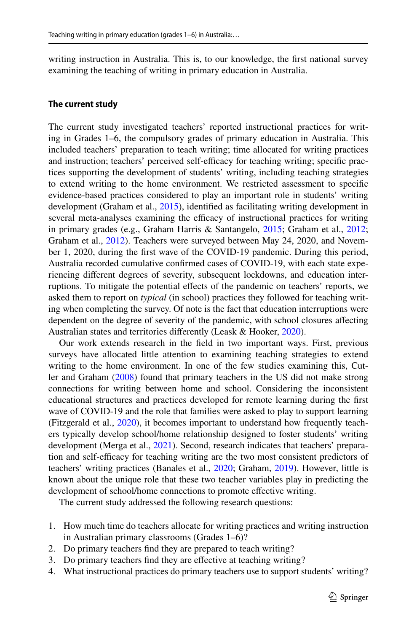writing instruction in Australia. This is, to our knowledge, the frst national survey examining the teaching of writing in primary education in Australia.

#### **The current study**

The current study investigated teachers' reported instructional practices for writing in Grades 1–6, the compulsory grades of primary education in Australia. This included teachers' preparation to teach writing; time allocated for writing practices and instruction; teachers' perceived self-efficacy for teaching writing; specific practices supporting the development of students' writing, including teaching strategies to extend writing to the home environment. We restricted assessment to specifc evidence-based practices considered to play an important role in students' writing development (Graham et al., [2015](#page-25-8)), identifed as facilitating writing development in several meta-analyses examining the efficacy of instructional practices for writing in primary grades (e.g., Graham Harris & Santangelo, [2015](#page-25-8); Graham et al., [2012;](#page-25-9) Graham et al., [2012\)](#page-25-10). Teachers were surveyed between May 24, 2020, and November 1, 2020, during the frst wave of the COVID-19 pandemic. During this period, Australia recorded cumulative confrmed cases of COVID-19, with each state experiencing diferent degrees of severity, subsequent lockdowns, and education interruptions. To mitigate the potential effects of the pandemic on teachers' reports, we asked them to report on *typical* (in school) practices they followed for teaching writing when completing the survey. Of note is the fact that education interruptions were dependent on the degree of severity of the pandemic, with school closures afecting Australian states and territories diferently (Leask & Hooker, [2020](#page-25-11)).

Our work extends research in the feld in two important ways. First, previous surveys have allocated little attention to examining teaching strategies to extend writing to the home environment. In one of the few studies examining this, Cutler and Graham [\(2008](#page-24-1)) found that primary teachers in the US did not make strong connections for writing between home and school. Considering the inconsistent educational structures and practices developed for remote learning during the frst wave of COVID-19 and the role that families were asked to play to support learning (Fitzgerald et al., [2020\)](#page-24-5), it becomes important to understand how frequently teachers typically develop school/home relationship designed to foster students' writing development (Merga et al., [2021\)](#page-26-8). Second, research indicates that teachers' preparation and self-efficacy for teaching writing are the two most consistent predictors of teachers' writing practices (Banales et al., [2020](#page-24-0); Graham, [2019\)](#page-25-3). However, little is known about the unique role that these two teacher variables play in predicting the development of school/home connections to promote effective writing.

The current study addressed the following research questions:

- 1. How much time do teachers allocate for writing practices and writing instruction in Australian primary classrooms (Grades 1–6)?
- 2. Do primary teachers fnd they are prepared to teach writing?
- 3. Do primary teachers fnd they are efective at teaching writing?
- 4. What instructional practices do primary teachers use to support students' writing?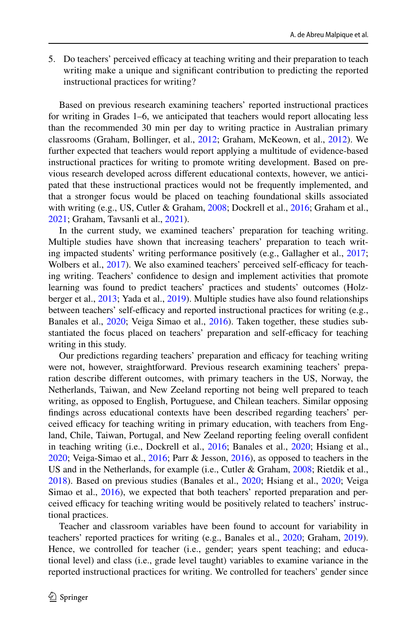5. Do teachers' perceived efficacy at teaching writing and their preparation to teach writing make a unique and signifcant contribution to predicting the reported instructional practices for writing?

Based on previous research examining teachers' reported instructional practices for writing in Grades 1–6, we anticipated that teachers would report allocating less than the recommended 30 min per day to writing practice in Australian primary classrooms (Graham, Bollinger, et al., [2012;](#page-25-9) Graham, McKeown, et al., [2012](#page-25-10)). We further expected that teachers would report applying a multitude of evidence-based instructional practices for writing to promote writing development. Based on previous research developed across diferent educational contexts, however, we anticipated that these instructional practices would not be frequently implemented, and that a stronger focus would be placed on teaching foundational skills associated with writing (e.g., US, Cutler & Graham, [2008](#page-24-1); Dockrell et al., [2016](#page-24-4); Graham et al., [2021](#page-25-1); Graham, Tavsanli et al., [2021\)](#page-25-2).

In the current study, we examined teachers' preparation for teaching writing. Multiple studies have shown that increasing teachers' preparation to teach writing impacted students' writing performance positively (e.g., Gallagher et al., [2017;](#page-24-6) Wolbers et al., [2017](#page-26-9)). We also examined teachers' perceived self-efficacy for teaching writing. Teachers' confdence to design and implement activities that promote learning was found to predict teachers' practices and students' outcomes (Holzberger et al., [2013](#page-25-12); Yada et al., [2019](#page-26-10)). Multiple studies have also found relationships between teachers' self-efficacy and reported instructional practices for writing (e.g., Banales et al., [2020](#page-24-0); Veiga Simao et al., [2016](#page-26-1)). Taken together, these studies substantiated the focus placed on teachers' preparation and self-efficacy for teaching writing in this study.

Our predictions regarding teachers' preparation and efficacy for teaching writing were not, however, straightforward. Previous research examining teachers' preparation describe diferent outcomes, with primary teachers in the US, Norway, the Netherlands, Taiwan, and New Zeeland reporting not being well prepared to teach writing, as opposed to English, Portuguese, and Chilean teachers. Similar opposing fndings across educational contexts have been described regarding teachers' perceived efficacy for teaching writing in primary education, with teachers from England, Chile, Taiwan, Portugal, and New Zeeland reporting feeling overall confdent in teaching writing (i.e., Dockrell et al., [2016;](#page-24-4) Banales et al., [2020](#page-24-0); Hsiang et al., [2020](#page-25-5); Veiga-Simao et al., [2016](#page-26-1); Parr & Jesson, [2016\)](#page-26-6), as opposed to teachers in the US and in the Netherlands, for example (i.e., Cutler & Graham, [2008;](#page-24-1) Rietdik et al., [2018](#page-26-4)). Based on previous studies (Banales et al., [2020;](#page-24-0) Hsiang et al., [2020](#page-25-5); Veiga Simao et al., [2016](#page-26-1)), we expected that both teachers' reported preparation and perceived efficacy for teaching writing would be positively related to teachers' instructional practices.

Teacher and classroom variables have been found to account for variability in teachers' reported practices for writing (e.g., Banales et al., [2020](#page-24-0); Graham, [2019\)](#page-25-3). Hence, we controlled for teacher (i.e., gender; years spent teaching; and educational level) and class (i.e., grade level taught) variables to examine variance in the reported instructional practices for writing. We controlled for teachers' gender since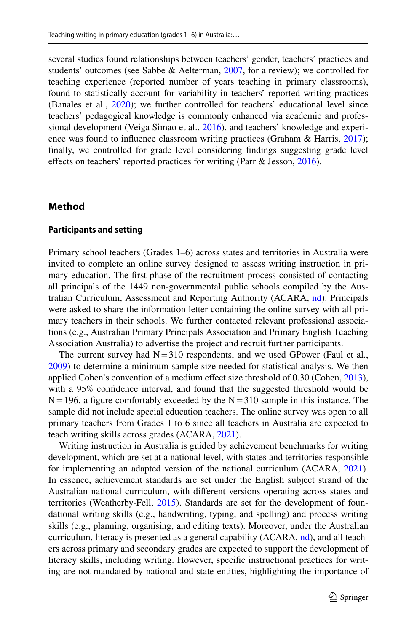several studies found relationships between teachers' gender, teachers' practices and students' outcomes (see Sabbe & Aelterman, [2007,](#page-26-11) for a review); we controlled for teaching experience (reported number of years teaching in primary classrooms), found to statistically account for variability in teachers' reported writing practices (Banales et al., [2020\)](#page-24-0); we further controlled for teachers' educational level since teachers' pedagogical knowledge is commonly enhanced via academic and professional development (Veiga Simao et al., [2016](#page-26-1)), and teachers' knowledge and experi-ence was found to influence classroom writing practices (Graham & Harris, [2017](#page-25-13)); fnally, we controlled for grade level considering fndings suggesting grade level effects on teachers' reported practices for writing (Parr & Jesson, [2016\)](#page-26-6).

#### **Method**

#### **Participants and setting**

Primary school teachers (Grades 1–6) across states and territories in Australia were invited to complete an online survey designed to assess writing instruction in primary education. The frst phase of the recruitment process consisted of contacting all principals of the 1449 non-governmental public schools compiled by the Australian Curriculum, Assessment and Reporting Authority (ACARA, [nd](#page-24-7)). Principals were asked to share the information letter containing the online survey with all primary teachers in their schools. We further contacted relevant professional associations (e.g., Australian Primary Principals Association and Primary English Teaching Association Australia) to advertise the project and recruit further participants.

The current survey had  $N=310$  respondents, and we used GPower (Faul et al., [2009](#page-24-8)) to determine a minimum sample size needed for statistical analysis. We then applied Cohen's convention of a medium effect size threshold of 0.30 (Cohen, [2013\)](#page-24-9), with a 95% confdence interval, and found that the suggested threshold would be  $N=196$ , a figure comfortably exceeded by the  $N=310$  sample in this instance. The sample did not include special education teachers. The online survey was open to all primary teachers from Grades 1 to 6 since all teachers in Australia are expected to teach writing skills across grades (ACARA, [2021\)](#page-24-2).

Writing instruction in Australia is guided by achievement benchmarks for writing development, which are set at a national level, with states and territories responsible for implementing an adapted version of the national curriculum (ACARA, [2021\)](#page-24-2). In essence, achievement standards are set under the English subject strand of the Australian national curriculum, with diferent versions operating across states and territories (Weatherby-Fell, [2015\)](#page-26-12). Standards are set for the development of foundational writing skills (e.g., handwriting, typing, and spelling) and process writing skills (e.g., planning, organising, and editing texts). Moreover, under the Australian curriculum, literacy is presented as a general capability (ACARA, [nd\)](#page-24-10), and all teachers across primary and secondary grades are expected to support the development of literacy skills, including writing. However, specifc instructional practices for writing are not mandated by national and state entities, highlighting the importance of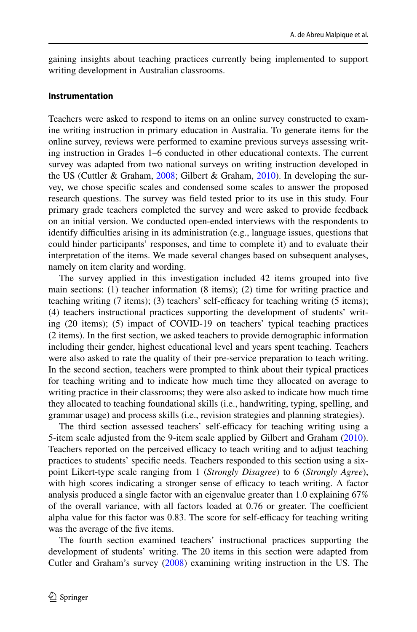gaining insights about teaching practices currently being implemented to support writing development in Australian classrooms.

#### **Instrumentation**

Teachers were asked to respond to items on an online survey constructed to examine writing instruction in primary education in Australia. To generate items for the online survey, reviews were performed to examine previous surveys assessing writing instruction in Grades 1–6 conducted in other educational contexts. The current survey was adapted from two national surveys on writing instruction developed in the US (Cuttler & Graham, [2008;](#page-24-1) Gilbert & Graham, [2010\)](#page-24-3). In developing the survey, we chose specifc scales and condensed some scales to answer the proposed research questions. The survey was feld tested prior to its use in this study. Four primary grade teachers completed the survey and were asked to provide feedback on an initial version. We conducted open-ended interviews with the respondents to identify difficulties arising in its administration (e.g., language issues, questions that could hinder participants' responses, and time to complete it) and to evaluate their interpretation of the items. We made several changes based on subsequent analyses, namely on item clarity and wording.

The survey applied in this investigation included 42 items grouped into fve main sections: (1) teacher information (8 items); (2) time for writing practice and teaching writing  $(7 \text{ items})$ ;  $(3)$  teachers' self-efficacy for teaching writing  $(5 \text{ items})$ ; (4) teachers instructional practices supporting the development of students' writing (20 items); (5) impact of COVID-19 on teachers' typical teaching practices (2 items). In the frst section, we asked teachers to provide demographic information including their gender, highest educational level and years spent teaching. Teachers were also asked to rate the quality of their pre-service preparation to teach writing. In the second section, teachers were prompted to think about their typical practices for teaching writing and to indicate how much time they allocated on average to writing practice in their classrooms; they were also asked to indicate how much time they allocated to teaching foundational skills (i.e., handwriting, typing, spelling, and grammar usage) and process skills (i.e., revision strategies and planning strategies).

The third section assessed teachers' self-efficacy for teaching writing using a 5-item scale adjusted from the 9-item scale applied by Gilbert and Graham ([2010\)](#page-24-3). Teachers reported on the perceived efficacy to teach writing and to adjust teaching practices to students' specifc needs. Teachers responded to this section using a sixpoint Likert-type scale ranging from 1 (*Strongly Disagree*) to 6 (*Strongly Agree*), with high scores indicating a stronger sense of efficacy to teach writing. A factor analysis produced a single factor with an eigenvalue greater than 1.0 explaining 67% of the overall variance, with all factors loaded at 0.76 or greater. The coefficient alpha value for this factor was 0.83. The score for self-efficacy for teaching writing was the average of the five items.

The fourth section examined teachers' instructional practices supporting the development of students' writing. The 20 items in this section were adapted from Cutler and Graham's survey [\(2008](#page-24-1)) examining writing instruction in the US. The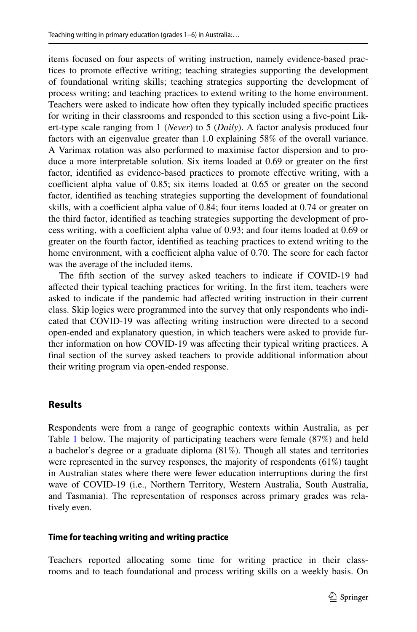items focused on four aspects of writing instruction, namely evidence-based practices to promote efective writing; teaching strategies supporting the development of foundational writing skills; teaching strategies supporting the development of process writing; and teaching practices to extend writing to the home environment. Teachers were asked to indicate how often they typically included specifc practices for writing in their classrooms and responded to this section using a fve-point Likert-type scale ranging from 1 (*Never*) to 5 (*Daily*). A factor analysis produced four factors with an eigenvalue greater than 1.0 explaining 58% of the overall variance. A Varimax rotation was also performed to maximise factor dispersion and to produce a more interpretable solution. Six items loaded at 0.69 or greater on the frst factor, identifed as evidence-based practices to promote efective writing, with a coefficient alpha value of  $0.85$ ; six items loaded at  $0.65$  or greater on the second factor, identifed as teaching strategies supporting the development of foundational skills, with a coefficient alpha value of  $0.84$ ; four items loaded at  $0.74$  or greater on the third factor, identifed as teaching strategies supporting the development of process writing, with a coefficient alpha value of 0.93; and four items loaded at 0.69 or greater on the fourth factor, identifed as teaching practices to extend writing to the home environment, with a coefficient alpha value of  $0.70$ . The score for each factor was the average of the included items.

The ffth section of the survey asked teachers to indicate if COVID-19 had afected their typical teaching practices for writing. In the frst item, teachers were asked to indicate if the pandemic had afected writing instruction in their current class. Skip logics were programmed into the survey that only respondents who indicated that COVID-19 was afecting writing instruction were directed to a second open-ended and explanatory question, in which teachers were asked to provide further information on how COVID-19 was afecting their typical writing practices. A fnal section of the survey asked teachers to provide additional information about their writing program via open-ended response.

## **Results**

Respondents were from a range of geographic contexts within Australia, as per Table [1](#page-10-0) below. The majority of participating teachers were female (87%) and held a bachelor's degree or a graduate diploma (81%). Though all states and territories were represented in the survey responses, the majority of respondents (61%) taught in Australian states where there were fewer education interruptions during the frst wave of COVID-19 (i.e., Northern Territory, Western Australia, South Australia, and Tasmania). The representation of responses across primary grades was relatively even.

#### **Time for teaching writing and writing practice**

Teachers reported allocating some time for writing practice in their classrooms and to teach foundational and process writing skills on a weekly basis. On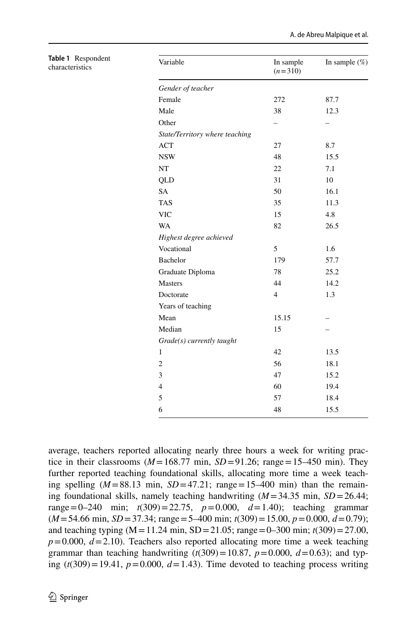| Variable                       | In sample<br>$(n=310)$ | In sample $(\%)$ |
|--------------------------------|------------------------|------------------|
| Gender of teacher              |                        |                  |
| Female                         | 272                    | 87.7             |
| Male                           | 38                     | 12.3             |
| Other                          |                        |                  |
| State/Territory where teaching |                        |                  |
| <b>ACT</b>                     | 27                     | 8.7              |
| <b>NSW</b>                     | 48                     | 15.5             |
| NT                             | 22                     | 7.1              |
| QLD                            | 31                     | 10               |
| <b>SA</b>                      | 50                     | 16.1             |
| <b>TAS</b>                     | 35                     | 11.3             |
| <b>VIC</b>                     | 15                     | 4.8              |
| WA                             | 82                     | 26.5             |
| Highest degree achieved        |                        |                  |
| Vocational                     | 5                      | 1.6              |
| Bachelor                       | 179                    | 57.7             |
| Graduate Diploma               | 78                     | 25.2             |
| <b>Masters</b>                 | 44                     | 14.2             |
| Doctorate                      | $\overline{4}$         | 1.3              |
| Years of teaching              |                        |                  |
| Mean                           | 15.15                  |                  |
| Median                         | 15                     |                  |
| Grade(s) currently taught      |                        |                  |
| 1                              | 42                     | 13.5             |
| $\mathbf{2}$                   | 56                     | 18.1             |
| 3                              | 47                     | 15.2             |
| $\overline{4}$                 | 60                     | 19.4             |
| 5                              | 57                     | 18.4             |
| 6                              | 48                     | 15.5             |
|                                |                        |                  |

<span id="page-10-0"></span>**Table 1** Respondent characteristics

average, teachers reported allocating nearly three hours a week for writing practice in their classrooms ( $M=168.77$  min,  $SD=91.26$ ; range=15–450 min). They further reported teaching foundational skills, allocating more time a week teaching spelling  $(M=88.13 \text{ min}, SD=47.21; \text{range}=15-400 \text{ min})$  than the remaining foundational skills, namely teaching handwriting (*M*=34.35 min, *SD*=26.44; range=0–240 min; *t*(309)=22.75, *p*=0.000, *d*=1.40); teaching grammar (*M*=54.66 min, *SD*=37.34; range=5–400 min; *t*(309)=15.00, *p*=0.000, *d*=0.79); and teaching typing  $(M=11.24 \text{ min}, SD=21.05; \text{range} = 0-300 \text{ min}; t(309) = 27.00,$  $p=0.000, d=2.10$ ). Teachers also reported allocating more time a week teaching grammar than teaching handwriting  $(t(309)=10.87, p=0.000, d=0.63)$ ; and typing  $(t(309)=19.41, p=0.000, d=1.43)$ . Time devoted to teaching process writing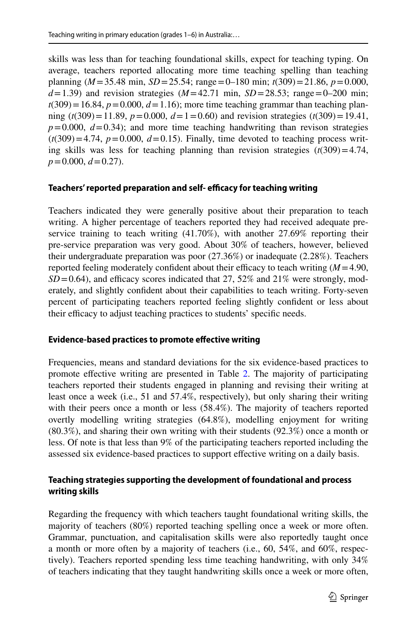skills was less than for teaching foundational skills, expect for teaching typing. On average, teachers reported allocating more time teaching spelling than teaching planning (*M*=35.48 min, *SD*=25.54; range=0–180 min; *t*(309)=21.86, *p*=0.000,  $d=1.39$ ) and revision strategies ( $M=42.71$  min,  $SD=28.53$ ; range=0–200 min;  $t(309) = 16.84$ ,  $p = 0.000$ ,  $d = 1.16$ ); more time teaching grammar than teaching planning ( $t(309) = 11.89$ ,  $p = 0.000$ ,  $d = 1 = 0.60$ ) and revision strategies ( $t(309) = 19.41$ ,  $p=0.000, d=0.34$ ; and more time teaching handwriting than revison strategies  $(t(309)=4.74, p=0.000, d=0.15)$ . Finally, time devoted to teaching process writing skills was less for teaching planning than revision strategies  $(t(309)=4.74$ , *p*=0.000, *d*=0.27).

## Teachers' reported preparation and self-efficacy for teaching writing

Teachers indicated they were generally positive about their preparation to teach writing. A higher percentage of teachers reported they had received adequate preservice training to teach writing (41.70%), with another 27.69% reporting their pre-service preparation was very good. About 30% of teachers, however, believed their undergraduate preparation was poor (27.36%) or inadequate (2.28%). Teachers reported feeling moderately confident about their efficacy to teach writing  $(M=4.90,$  $SD = 0.64$ ), and efficacy scores indicated that 27, 52% and 21% were strongly, moderately, and slightly confdent about their capabilities to teach writing. Forty-seven percent of participating teachers reported feeling slightly confdent or less about their efficacy to adjust teaching practices to students' specific needs.

## **Evidence‑based practices to promote efective writing**

Frequencies, means and standard deviations for the six evidence-based practices to promote efective writing are presented in Table [2](#page-12-0). The majority of participating teachers reported their students engaged in planning and revising their writing at least once a week (i.e., 51 and 57.4%, respectively), but only sharing their writing with their peers once a month or less (58.4%). The majority of teachers reported overtly modelling writing strategies (64.8%), modelling enjoyment for writing (80.3%), and sharing their own writing with their students (92.3%) once a month or less. Of note is that less than 9% of the participating teachers reported including the assessed six evidence-based practices to support efective writing on a daily basis.

## **Teaching strategies supporting the development of foundational and process writing skills**

Regarding the frequency with which teachers taught foundational writing skills, the majority of teachers (80%) reported teaching spelling once a week or more often. Grammar, punctuation, and capitalisation skills were also reportedly taught once a month or more often by a majority of teachers (i.e., 60, 54%, and 60%, respectively). Teachers reported spending less time teaching handwriting, with only 34% of teachers indicating that they taught handwriting skills once a week or more often,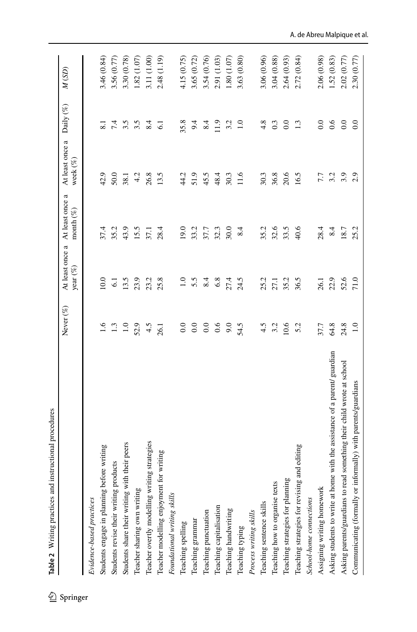<span id="page-12-0"></span>

| ٰ        | Table 2 Writing practices and instructional procedures                     |               |                                |                                 |                                |                  |             |
|----------|----------------------------------------------------------------------------|---------------|--------------------------------|---------------------------------|--------------------------------|------------------|-------------|
| Springer |                                                                            | Never (%)     | At least once a<br>year $(\%)$ | At least once a<br>month $(\%)$ | At least once a<br>week $(\%)$ | Daily (%)        | M(SD)       |
|          | Evidence-based practices                                                   |               |                                |                                 |                                |                  |             |
|          | Students engage in planning before writing                                 | $\frac{6}{1}$ | 10.0                           | 37.4                            | 42.9                           | $\overline{8.1}$ | 3.46 (0.84) |
|          | Students revise their writing products                                     | 1.3           | $\overline{61}$                | 35.2                            | 50.0                           | 7.4              | 3.56 (0.77) |
|          | Students share their writing with their peers                              | $1.0\,$       | 13.5                           | 43.9                            | 38.1                           | 3.5              | 3.30 (0.78) |
|          | Teacher sharing own writing                                                | 52.9          | 23.9                           | 15.5                            | 4.2                            | 3.5              | 1.82 (1.07) |
|          | Teacher overtly modelling writing strategies                               | 4.5           | 23.2                           | 37.1                            | 26.8                           | 8.4              | 3.11 (1.00) |
|          | Teacher modelling enjoyment for writing                                    | 26.1          | 25.8                           | 28.4                            | 13.5                           | $\overline{61}$  | 2.48 (1.19) |
|          | Foundational writing skills                                                |               |                                |                                 |                                |                  |             |
|          | Teaching spelling                                                          | 0.0           | $\ddot{=}$                     | 19.0                            | 44.2                           | 35.8             | 4.15 (0.75) |
|          | Teaching grammar                                                           | $_{\rm 0.0}$  | 5.5                            | 33.2                            | 51.9                           | 9.4              | 3.65 (0.72) |
|          | Teaching punctuation                                                       | $_{0.0}$      | 8.4                            | 37.7                            | 45.5                           | 8.4              | 3.54 (0.76) |
|          | Teaching capitalisation                                                    | 0.6           | 6.8                            | 32.3                            | 48.4                           | 11.9             | 2.91 (1.03) |
|          | Teaching handwriting                                                       | 9.0           | 27.4                           | 30.0                            | 30.3                           | 3.2              | 1.80(1.07)  |
|          | Teaching typing                                                            | 54.5          | 24.5                           | 8.4                             | 11.6                           | $\overline{1.0}$ | 3.63(0.80)  |
|          | Process writing skills                                                     |               |                                |                                 |                                |                  |             |
|          | Teaching sentence skills                                                   | 4.5           | 25.2                           | 35.2                            | 30.3                           | 4.8              | 3.06 (0.96) |
|          | Teaching how to organise texts                                             | 3.2           | 27.1                           | 32.6                            | 36.8                           | 0.3              | 3.04(0.88)  |
|          | Teaching strategies for planning                                           | 10.6          | 35.2                           | 33.5                            | 20.6                           | $\overline{0.0}$ | 2.64(0.93)  |
|          | and editing<br>Teaching strategies for revising                            | 5.2           | 36.5                           | 40.6                            | 16.5                           | 1.3              | 2.72(0.84)  |
|          | School-home connections                                                    |               |                                |                                 |                                |                  |             |
|          | Assigning writing homework                                                 | 37.7          | 26.1                           | 28.4                            | 7.7                            | 0.0              | 2.06 (0.98) |
|          | Asking students to write at home with the assistance of a parent/ guardian | $64.8$        | 22.9                           | 8.4                             | 3.2                            | 0.6              | 1.52 (0.83) |
|          | Asking parents/guardians to read something their child wrote at school     | 24.8          | 52.6                           | 18.7                            | 3.9                            | $\overline{0.0}$ | 2.02 (0.77) |
|          | Communicating (formally or informally) with parents/guardians              | 1.0           | 71.0                           | 25.2                            | 2.9                            | $\overline{0.0}$ | 2.30(0.77)  |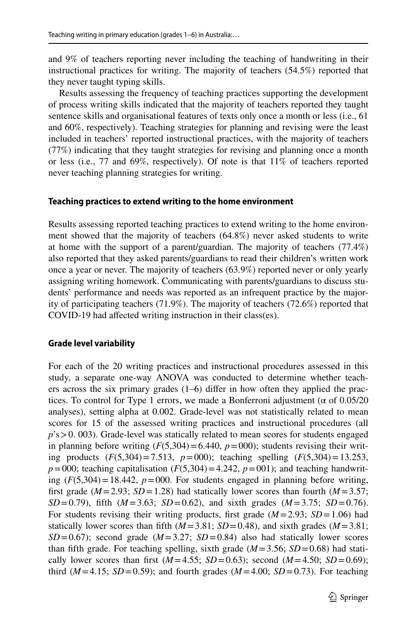and 9% of teachers reporting never including the teaching of handwriting in their instructional practices for writing. The majority of teachers (54.5%) reported that they never taught typing skills.

Results assessing the frequency of teaching practices supporting the development of process writing skills indicated that the majority of teachers reported they taught sentence skills and organisational features of texts only once a month or less (i.e., 61 and 60%, respectively). Teaching strategies for planning and revising were the least included in teachers' reported instructional practices, with the majority of teachers (77%) indicating that they taught strategies for revising and planning once a month or less (i.e., 77 and 69%, respectively). Of note is that 11% of teachers reported never teaching planning strategies for writing.

#### **Teaching practices to extend writing to the home environment**

Results assessing reported teaching practices to extend writing to the home environment showed that the majority of teachers (64.8%) never asked students to write at home with the support of a parent/guardian. The majority of teachers (77.4%) also reported that they asked parents/guardians to read their children's written work once a year or never. The majority of teachers (63.9%) reported never or only yearly assigning writing homework. Communicating with parents/guardians to discuss students' performance and needs was reported as an infrequent practice by the majority of participating teachers (71.9%). The majority of teachers (72.6%) reported that COVID-19 had afected writing instruction in their class(es).

#### **Grade level variability**

For each of the 20 writing practices and instructional procedures assessed in this study, a separate one-way ANOVA was conducted to determine whether teachers across the six primary grades (1–6) difer in how often they applied the practices. To control for Type 1 errors, we made a Bonferroni adjustment ( $\alpha$  of 0.05/20 analyses), setting alpha at 0.002. Grade-level was not statistically related to mean scores for 15 of the assessed writing practices and instructional procedures (all  $p$ 's  $> 0.003$ ). Grade-level was statically related to mean scores for students engaged in planning before writing  $(F(5,304)=6.440, p=000)$ ; students revising their writing products (*F*(5,304)=7.513, *p*=000); teaching spelling (*F*(5,304)=13.253,  $p=000$ ; teaching capitalisation  $(F(5,304)=4.242, p=001)$ ; and teaching handwriting  $(F(5,304)=18.442$ ,  $p=000$ . For students engaged in planning before writing, first grade ( $M=2.93$ ;  $SD=1.28$ ) had statically lower scores than fourth ( $M=3.57$ ; *SD*=0.79), ffth (*M*=3.63; *SD*=0.62), and sixth grades (*M*=3.75; *SD*=0.76). For students revising their writing products, first grade  $(M=2.93; SD=1.06)$  had statically lower scores than fifth  $(M=3.81; SD=0.48)$ , and sixth grades  $(M=3.81;$ *SD*=0.67); second grade ( $M=3.27$ ; *SD*=0.84) also had statically lower scores than fifth grade. For teaching spelling, sixth grade  $(M=3.56; SD=0.68)$  had statically lower scores than first  $(M=4.55; SD=0.63)$ ; second  $(M=4.50; SD=0.69)$ ; third ( $M=4.15$ ;  $SD=0.59$ ); and fourth grades ( $M=4.00$ ;  $SD=0.73$ ). For teaching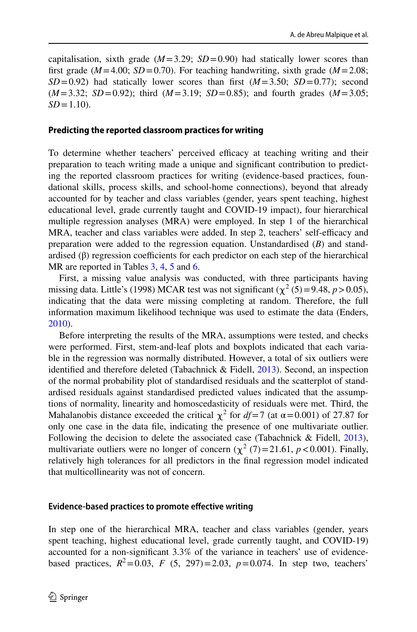capitalisation, sixth grade  $(M=3.29; SD=0.90)$  had statically lower scores than first grade ( $M=4.00$ ;  $SD=0.70$ ). For teaching handwriting, sixth grade ( $M=2.08$ ;  $SD = 0.92$ ) had statically lower scores than first  $(M=3.50; SD=0.77)$ ; second (*M*=3.32; *SD*=0.92); third (*M*=3.19; *SD*=0.85); and fourth grades (*M*=3.05;  $SD = 1.10$ ).

#### **Predicting the reported classroom practices for writing**

To determine whether teachers' perceived efficacy at teaching writing and their preparation to teach writing made a unique and signifcant contribution to predicting the reported classroom practices for writing (evidence-based practices, foundational skills, process skills, and school-home connections), beyond that already accounted for by teacher and class variables (gender, years spent teaching, highest educational level, grade currently taught and COVID-19 impact), four hierarchical multiple regression analyses (MRA) were employed. In step 1 of the hierarchical MRA, teacher and class variables were added. In step 2, teachers' self-efficacy and preparation were added to the regression equation. Unstandardised (*B*) and standardised  $(\beta)$  regression coefficients for each predictor on each step of the hierarchical MR are reported in Tables [3,](#page-15-0) [4,](#page-16-0) [5](#page-16-1) and [6](#page-17-0).

First, a missing value analysis was conducted, with three participants having missing data. Little's (1998) MCAR test was not significant ( $\chi^2$  (5)=9.48, *p*>0.05), indicating that the data were missing completing at random. Therefore, the full information maximum likelihood technique was used to estimate the data (Enders, [2010](#page-24-11)).

Before interpreting the results of the MRA, assumptions were tested, and checks were performed. First, stem-and-leaf plots and boxplots indicated that each variable in the regression was normally distributed. However, a total of six outliers were identifed and therefore deleted (Tabachnick & Fidell, [2013](#page-26-13)). Second, an inspection of the normal probability plot of standardised residuals and the scatterplot of standardised residuals against standardised predicted values indicated that the assumptions of normality, linearity and homoscedasticity of residuals were met. Third, the Mahalanobis distance exceeded the critical  $\chi^2$  for  $df=7$  (at  $\alpha = 0.001$ ) of 27.87 for only one case in the data fle, indicating the presence of one multivariate outlier. Following the decision to delete the associated case (Tabachnick & Fidell, [2013\)](#page-26-13), multivariate outliers were no longer of concern  $(\chi^2(7)=21.61, p<0.001)$ . Finally, relatively high tolerances for all predictors in the fnal regression model indicated that multicollinearity was not of concern.

#### **Evidence‑based practices to promote efective writing**

In step one of the hierarchical MRA, teacher and class variables (gender, years spent teaching, highest educational level, grade currently taught, and COVID-19) accounted for a non-signifcant 3.3% of the variance in teachers' use of evidencebased practices,  $R^2 = 0.03$ ,  $F(5, 297) = 2.03$ ,  $p = 0.074$ . In step two, teachers'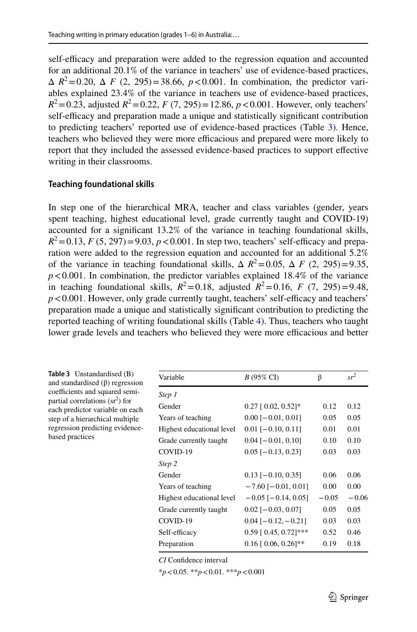self-efficacy and preparation were added to the regression equation and accounted for an additional 20.1% of the variance in teachers' use of evidence-based practices,  $\Delta R^2 = 0.20$ ,  $\Delta F (2, 295) = 38.66$ ,  $p < 0.001$ . In combination, the predictor variables explained 23.4% of the variance in teachers use of evidence-based practices,  $R^2$  = 0.23, adjusted  $R^2$  = 0.22, *F* (7, 295) = 12.86, *p* < 0.001. However, only teachers' self-efficacy and preparation made a unique and statistically significant contribution to predicting teachers' reported use of evidence-based practices (Table [3\)](#page-15-0). Hence, teachers who believed they were more efficacious and prepared were more likely to report that they included the assessed evidence-based practices to support efective writing in their classrooms.

#### **Teaching foundational skills**

In step one of the hierarchical MRA, teacher and class variables (gender, years spent teaching, highest educational level, grade currently taught and COVID-19) accounted for a signifcant 13.2% of the variance in teaching foundational skills,  $R^2 = 0.13$ , *F* (5, 297) = 9.03, *p* < 0.001. In step two, teachers' self-efficacy and preparation were added to the regression equation and accounted for an additional 5.2% of the variance in teaching foundational skills,  $\Delta R^2 = 0.05$ ,  $\Delta F (2, 295) = 9.35$ ,  $p$ <0.001. In combination, the predictor variables explained 18.4% of the variance in teaching foundational skills,  $R^2 = 0.18$ , adjusted  $R^2 = 0.16$ , *F* (7, 295)=9.48,  $p < 0.001$ . However, only grade currently taught, teachers' self-efficacy and teachers' preparation made a unique and statistically signifcant contribution to predicting the reported teaching of writing foundational skills (Table [4](#page-16-0)). Thus, teachers who taught lower grade levels and teachers who believed they were more efficacious and better

<span id="page-15-0"></span>

| <b>Table 3</b> Unstandardised (B)<br>and standardised $(\beta)$ regression | Variable                  | $B(95\% \text{ CI})$          | $\beta$ | $sr^2$  |
|----------------------------------------------------------------------------|---------------------------|-------------------------------|---------|---------|
| coefficients and squared semi-                                             | Step 1                    |                               |         |         |
| partial correlations $(sr^2)$ for<br>each predictor variable on each       | Gender                    | $0.27$ [ 0.02, 0.52]*         | 0.12    | 0.12    |
| step of a hierarchical multiple                                            | Years of teaching         | $0.00$ [ $-0.01$ , 0.01]      | 0.05    | 0.05    |
| regression predicting evidence-                                            | Highest educational level | $0.01$ [-0.10, 0.11]          | 0.01    | 0.01    |
| based practices                                                            | Grade currently taught    | $0.04$ [ $-0.01$ , 0.10]      | 0.10    | 0.10    |
|                                                                            | COVID-19                  | $0.05$ [ $-0.13$ , 0.23]      | 0.03    | 0.03    |
|                                                                            | Step 2                    |                               |         |         |
|                                                                            | Gender                    | $0.13$ [-0.10, 0.35]          | 0.06    | 0.06    |
|                                                                            | Years of teaching         | $-7.60$ [ $-0.01$ , 0.01]     | 0.00    | 0.00    |
|                                                                            | Highest educational level | $-0.05$ [ $-0.14$ , 0.05]     | $-0.05$ | $-0.06$ |
|                                                                            | Grade currently taught    | $0.02$ [ $-0.03$ , 0.07]      | 0.05    | 0.05    |
|                                                                            | COVID-19                  | $0.04$ [ $-0.12$ , $-0.21$ ]  | 0.03    | 0.03    |
|                                                                            | Self-efficacy             | $0.59$ [ $0.45$ , $0.72$ ]*** | 0.52    | 0.46    |
|                                                                            | Preparation               | $0.16$ [ 0.06, 0.26]**        | 0.19    | 0.18    |

*CI* Confdence interval

\**p*<0.05. \*\**p*<0.01. \*\*\**p*<0.001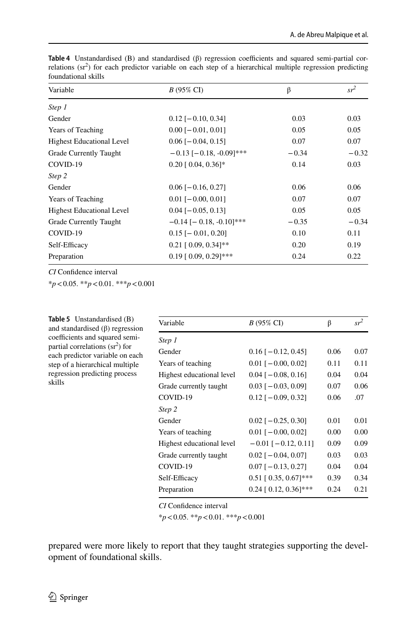| Variable                         | $B(95\% \text{ CI})$             | β       | $sr^2$  |
|----------------------------------|----------------------------------|---------|---------|
| Step 1                           |                                  |         |         |
| Gender                           | $0.12$ [-0.10, 0.34]             | 0.03    | 0.03    |
| Years of Teaching                | $0.00$ [ $-0.01$ , 0.01]         | 0.05    | 0.05    |
| <b>Highest Educational Level</b> | $0.06$ [ $-0.04$ , 0.15]         | 0.07    | 0.07    |
| Grade Currently Taught           | $-0.13$ [ $-0.18$ , $-0.09$ ]*** | $-0.34$ | $-0.32$ |
| COVID-19                         | $0.20$ [ 0.04, 0.36]*            | 0.14    | 0.03    |
| Step 2                           |                                  |         |         |
| Gender                           | $0.06$ [ $-0.16$ , 0.27]         | 0.06    | 0.06    |
| Years of Teaching                | $0.01$ [ $-0.00$ , $0.01$ ]      | 0.07    | 0.07    |
| <b>Highest Educational Level</b> | $0.04$ [ $-0.05$ , 0.13]         | 0.05    | 0.05    |
| Grade Currently Taught           | $-0.14$ [ $-0.18$ , $-0.10$ ]*** | $-0.35$ | $-0.34$ |
| COVID-19                         | $0.15$ [- 0.01, 0.20]            | 0.10    | 0.11    |
| Self-Efficacy                    | $0.21$ [ 0.09, 0.34]**           | 0.20    | 0.19    |
| Preparation                      | $0.19$ [ 0.09, 0.29]***          | 0.24    | 0.22    |

<span id="page-16-0"></span>Table 4 Unstandardised (B) and standardised (β) regression coefficients and squared semi-partial correlations  $(sr<sup>2</sup>)$  for each predictor variable on each step of a hierarchical multiple regression predicting foundational skills

*CI* Confdence interval

\**p*<0.05. \*\**p*<0.01. \*\*\**p*<0.001

<span id="page-16-1"></span>

| <b>Table 5</b> Unstandardised (B)<br>and standardised $(\beta)$ regression<br>coefficients and squared semi- | Variable                  | $B(95\% \text{ CI})$          | β    | $sr^2$ |
|--------------------------------------------------------------------------------------------------------------|---------------------------|-------------------------------|------|--------|
|                                                                                                              | Step 1                    |                               |      |        |
| partial correlations $(sr^2)$ for<br>each predictor variable on each                                         | Gender                    | $0.16$ [ $-0.12$ , 0.45]      | 0.06 | 0.07   |
| step of a hierarchical multiple                                                                              | Years of teaching         | $0.01$ [ $-0.00, 0.02$ ]      | 0.11 | 0.11   |
| regression predicting process                                                                                | Highest educational level | $0.04$ [ $-0.08$ , 0.16]      | 0.04 | 0.04   |
| skills                                                                                                       | Grade currently taught    | $0.03$ [ $-0.03$ , 0.09]      | 0.07 | 0.06   |
|                                                                                                              | COVID-19                  | $0.12$ [ $-0.09, 0.32$ ]      | 0.06 | .07    |
|                                                                                                              | Step 2                    |                               |      |        |
|                                                                                                              | Gender                    | $0.02$ [ $-0.25, 0.30$ ]      | 0.01 | 0.01   |
|                                                                                                              | Years of teaching         | $0.01$ [ $-0.00$ , $0.02$ ]   | 0.00 | 0.00   |
|                                                                                                              | Highest educational level | $-0.01$ [ $-0.12$ , 0.11]     | 0.09 | 0.09   |
|                                                                                                              | Grade currently taught    | $0.02$ [ $-0.04$ , 0.07]      | 0.03 | 0.03   |
|                                                                                                              | COVID-19                  | $0.07$ [ $-0.13$ , 0.27]      | 0.04 | 0.04   |
|                                                                                                              | Self-Efficacy             | $0.51$ [ $0.35$ , $0.67$ ]*** | 0.39 | 0.34   |
|                                                                                                              | Preparation               | $0.24$ [ 0.12, 0.36]***       | 0.24 | 0.21   |

*CI* Confdence interval

\**p*<0.05. \*\**p*<0.01. \*\*\**p*<0.001

prepared were more likely to report that they taught strategies supporting the development of foundational skills.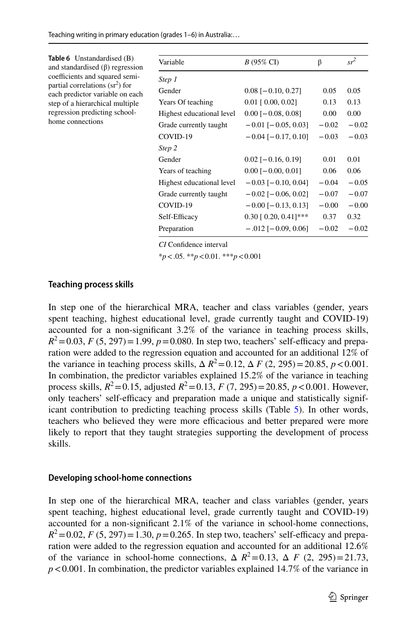<span id="page-17-0"></span>

| <b>Table 6</b> Unstandardised (B)<br>and standardised $(\beta)$ regression | Variable                  | $B(95\% \text{ CI})$          | β       | $sr^2$  |
|----------------------------------------------------------------------------|---------------------------|-------------------------------|---------|---------|
| coefficients and squared semi-                                             | Step 1                    |                               |         |         |
| partial correlations $(sr^2)$ for<br>each predictor variable on each       | Gender                    | $0.08$ [ $-0.10$ , 0.27]      | 0.05    | 0.05    |
| step of a hierarchical multiple<br>regression predicting school-           | Years Of teaching         | $0.01$ [ $0.00$ , $0.02$ ]    | 0.13    | 0.13    |
|                                                                            | Highest educational level | $0.00$ [ $-0.08$ , 0.08]      | 0.00    | 0.00    |
| home connections                                                           | Grade currently taught    | $-0.01$ [ $-0.05, 0.03$ ]     | $-0.02$ | $-0.02$ |
|                                                                            | COVID-19                  | $-0.04$ [ $-0.17, 0.10$ ]     | $-0.03$ | $-0.03$ |
|                                                                            | Step 2                    |                               |         |         |
|                                                                            | Gender                    | $0.02$ [-0.16, 0.19]          | 0.01    | 0.01    |
|                                                                            | Years of teaching         | $0.00$ [ $-0.00$ , $0.01$ ]   | 0.06    | 0.06    |
|                                                                            | Highest educational level | $-0.03$ [ $-0.10$ , 0.04]     | $-0.04$ | $-0.05$ |
|                                                                            | Grade currently taught    | $-0.02$ [ $-0.06$ , 0.02]     | $-0.07$ | $-0.07$ |
|                                                                            | COVID-19                  | $-0.00$ [ $-0.13$ , 0.13]     | $-0.00$ | $-0.00$ |
|                                                                            | Self-Efficacy             | $0.30$ [ $0.20$ , $0.41$ ]*** | 0.37    | 0.32    |
|                                                                            | Preparation               | $-.012$ [ $-.0.09, 0.06$ ]    | $-0.02$ | $-0.02$ |

*CI* Confdence interval

\**p*<.05. \*\**p*<0.01. \*\*\**p*<0.001

#### **Teaching process skills**

In step one of the hierarchical MRA, teacher and class variables (gender, years spent teaching, highest educational level, grade currently taught and COVID-19) accounted for a non-signifcant 3.2% of the variance in teaching process skills,  $R^2 = 0.03$ , *F* (5, 297) = 1.99, *p* = 0.080. In step two, teachers' self-efficacy and preparation were added to the regression equation and accounted for an additional 12% of the variance in teaching process skills,  $\Delta R^2 = 0.12$ ,  $\Delta F (2, 295) = 20.85$ ,  $p < 0.001$ . In combination, the predictor variables explained 15.2% of the variance in teaching process skills,  $R^2 = 0.15$ , adjusted  $R^2 = 0.13$ ,  $F(7, 295) = 20.85$ ,  $p < 0.001$ . However, only teachers' self-efficacy and preparation made a unique and statistically signif-icant contribution to predicting teaching process skills (Table [5](#page-16-1)). In other words, teachers who believed they were more efficacious and better prepared were more likely to report that they taught strategies supporting the development of process skills.

#### **Developing school‑home connections**

In step one of the hierarchical MRA, teacher and class variables (gender, years spent teaching, highest educational level, grade currently taught and COVID-19) accounted for a non-signifcant 2.1% of the variance in school-home connections,  $R^2 = 0.02$ , *F* (5, 297) = 1.30, *p* = 0.265. In step two, teachers' self-efficacy and preparation were added to the regression equation and accounted for an additional 12.6% of the variance in school-home connections,  $\Delta R^2 = 0.13$ ,  $\Delta F (2, 295) = 21.73$ ,  $p < 0.001$ . In combination, the predictor variables explained 14.7% of the variance in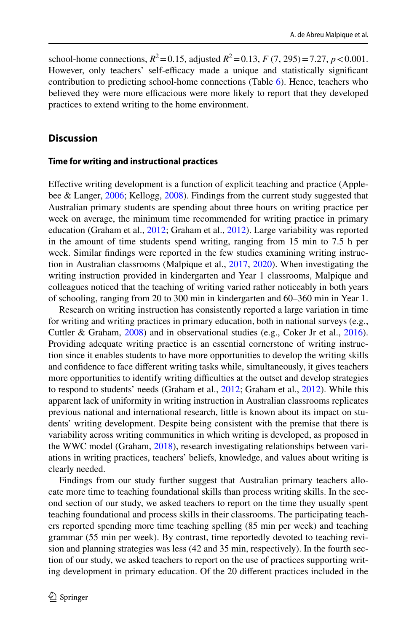school-home connections,  $R^2 = 0.15$ , adjusted  $R^2 = 0.13$ ,  $F(7, 295) = 7.27$ ,  $p < 0.001$ . However, only teachers' self-efficacy made a unique and statistically significant contribution to predicting school-home connections (Table [6\)](#page-17-0). Hence, teachers who believed they were more efficacious were more likely to report that they developed practices to extend writing to the home environment.

## **Discussion**

#### **Time for writing and instructional practices**

Efective writing development is a function of explicit teaching and practice (Applebee & Langer, [2006;](#page-24-12) Kellogg, [2008](#page-25-14)). Findings from the current study suggested that Australian primary students are spending about three hours on writing practice per week on average, the minimum time recommended for writing practice in primary education (Graham et al., [2012;](#page-25-9) Graham et al., [2012](#page-25-10)). Large variability was reported in the amount of time students spend writing, ranging from 15 min to 7.5 h per week. Similar fndings were reported in the few studies examining writing instruction in Australian classrooms (Malpique et al., [2017](#page-25-6), [2020\)](#page-25-7). When investigating the writing instruction provided in kindergarten and Year 1 classrooms, Malpique and colleagues noticed that the teaching of writing varied rather noticeably in both years of schooling, ranging from 20 to 300 min in kindergarten and 60–360 min in Year 1.

Research on writing instruction has consistently reported a large variation in time for writing and writing practices in primary education, both in national surveys (e.g., Cuttler & Graham, [2008](#page-24-1)) and in observational studies (e.g., Coker Jr et al., [2016\)](#page-24-13). Providing adequate writing practice is an essential cornerstone of writing instruction since it enables students to have more opportunities to develop the writing skills and confdence to face diferent writing tasks while, simultaneously, it gives teachers more opportunities to identify writing difficulties at the outset and develop strategies to respond to students' needs (Graham et al., [2012](#page-25-9); Graham et al., [2012](#page-25-10)). While this apparent lack of uniformity in writing instruction in Australian classrooms replicates previous national and international research, little is known about its impact on students' writing development. Despite being consistent with the premise that there is variability across writing communities in which writing is developed, as proposed in the WWC model (Graham, [2018](#page-25-0)), research investigating relationships between variations in writing practices, teachers' beliefs, knowledge, and values about writing is clearly needed.

Findings from our study further suggest that Australian primary teachers allocate more time to teaching foundational skills than process writing skills. In the second section of our study, we asked teachers to report on the time they usually spent teaching foundational and process skills in their classrooms. The participating teachers reported spending more time teaching spelling (85 min per week) and teaching grammar (55 min per week). By contrast, time reportedly devoted to teaching revision and planning strategies was less (42 and 35 min, respectively). In the fourth section of our study, we asked teachers to report on the use of practices supporting writing development in primary education. Of the 20 diferent practices included in the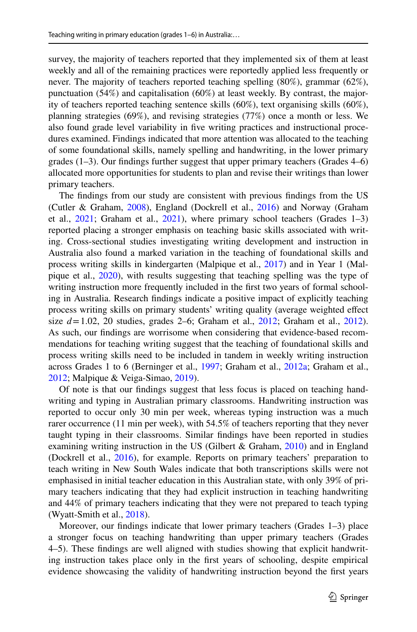survey, the majority of teachers reported that they implemented six of them at least weekly and all of the remaining practices were reportedly applied less frequently or never. The majority of teachers reported teaching spelling (80%), grammar (62%), punctuation (54%) and capitalisation (60%) at least weekly. By contrast, the majority of teachers reported teaching sentence skills (60%), text organising skills (60%), planning strategies (69%), and revising strategies (77%) once a month or less. We also found grade level variability in fve writing practices and instructional procedures examined. Findings indicated that more attention was allocated to the teaching of some foundational skills, namely spelling and handwriting, in the lower primary grades (1–3). Our fndings further suggest that upper primary teachers (Grades 4–6) allocated more opportunities for students to plan and revise their writings than lower primary teachers.

The fndings from our study are consistent with previous fndings from the US (Cutler & Graham, [2008](#page-24-1)), England (Dockrell et al., [2016](#page-24-4)) and Norway (Graham et al.,  $2021$ ; Graham et al.,  $2021$ ), where primary school teachers (Grades 1-3) reported placing a stronger emphasis on teaching basic skills associated with writing. Cross-sectional studies investigating writing development and instruction in Australia also found a marked variation in the teaching of foundational skills and process writing skills in kindergarten (Malpique et al., [2017\)](#page-25-6) and in Year 1 (Malpique et al., [2020\)](#page-25-7), with results suggesting that teaching spelling was the type of writing instruction more frequently included in the frst two years of formal schooling in Australia. Research fndings indicate a positive impact of explicitly teaching process writing skills on primary students' writing quality (average weighted efect size  $d = 1.02$ , 20 studies, grades 2–6; Graham et al., [2012](#page-25-9); Graham et al., [2012\)](#page-25-10). As such, our fndings are worrisome when considering that evidence-based recommendations for teaching writing suggest that the teaching of foundational skills and process writing skills need to be included in tandem in weekly writing instruction across Grades 1 to 6 (Berninger et al., [1997;](#page-24-14) Graham et al., [2012a;](#page-25-9) Graham et al., [2012](#page-25-10); Malpique & Veiga-Simao, [2019](#page-25-15)).

Of note is that our fndings suggest that less focus is placed on teaching handwriting and typing in Australian primary classrooms. Handwriting instruction was reported to occur only 30 min per week, whereas typing instruction was a much rarer occurrence (11 min per week), with 54.5% of teachers reporting that they never taught typing in their classrooms. Similar fndings have been reported in studies examining writing instruction in the US (Gilbert & Graham, [2010](#page-24-3)) and in England (Dockrell et al., [2016\)](#page-24-4), for example. Reports on primary teachers' preparation to teach writing in New South Wales indicate that both transcriptions skills were not emphasised in initial teacher education in this Australian state, with only 39% of primary teachers indicating that they had explicit instruction in teaching handwriting and 44% of primary teachers indicating that they were not prepared to teach typing (Wyatt-Smith et al., [2018](#page-26-7)).

Moreover, our fndings indicate that lower primary teachers (Grades 1–3) place a stronger focus on teaching handwriting than upper primary teachers (Grades 4–5). These fndings are well aligned with studies showing that explicit handwriting instruction takes place only in the frst years of schooling, despite empirical evidence showcasing the validity of handwriting instruction beyond the frst years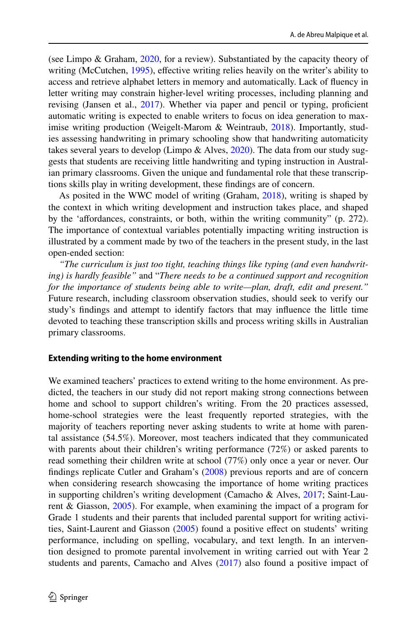(see Limpo & Graham, [2020,](#page-25-16) for a review). Substantiated by the capacity theory of writing (McCutchen, [1995\)](#page-25-17), efective writing relies heavily on the writer's ability to access and retrieve alphabet letters in memory and automatically. Lack of fuency in letter writing may constrain higher-level writing processes, including planning and revising (Jansen et al., [2017](#page-25-18)). Whether via paper and pencil or typing, proficient automatic writing is expected to enable writers to focus on idea generation to max-imise writing production (Weigelt-Marom & Weintraub, [2018\)](#page-26-14). Importantly, studies assessing handwriting in primary schooling show that handwriting automaticity takes several years to develop (Limpo & Alves, [2020](#page-25-16)). The data from our study suggests that students are receiving little handwriting and typing instruction in Australian primary classrooms. Given the unique and fundamental role that these transcriptions skills play in writing development, these fndings are of concern.

As posited in the WWC model of writing (Graham, [2018\)](#page-25-0), writing is shaped by the context in which writing development and instruction takes place, and shaped by the 'affordances, constraints, or both, within the writing community" (p. 272). The importance of contextual variables potentially impacting writing instruction is illustrated by a comment made by two of the teachers in the present study, in the last open-ended section:

*"The curriculum is just too tight, teaching things like typing (and even handwriting) is hardly feasible"* and "*There needs to be a continued support and recognition for the importance of students being able to write—plan, draft, edit and present."* Future research, including classroom observation studies, should seek to verify our study's fndings and attempt to identify factors that may infuence the little time devoted to teaching these transcription skills and process writing skills in Australian primary classrooms.

#### **Extending writing to the home environment**

We examined teachers' practices to extend writing to the home environment. As predicted, the teachers in our study did not report making strong connections between home and school to support children's writing. From the 20 practices assessed, home-school strategies were the least frequently reported strategies, with the majority of teachers reporting never asking students to write at home with parental assistance (54.5%). Moreover, most teachers indicated that they communicated with parents about their children's writing performance (72%) or asked parents to read something their children write at school (77%) only once a year or never. Our fndings replicate Cutler and Graham's [\(2008](#page-24-1)) previous reports and are of concern when considering research showcasing the importance of home writing practices in supporting children's writing development (Camacho & Alves, [2017;](#page-24-15) Saint-Laurent & Giasson, [2005\)](#page-26-15). For example, when examining the impact of a program for Grade 1 students and their parents that included parental support for writing activi-ties, Saint-Laurent and Giasson ([2005\)](#page-26-15) found a positive effect on students' writing performance, including on spelling, vocabulary, and text length. In an intervention designed to promote parental involvement in writing carried out with Year 2 students and parents, Camacho and Alves [\(2017](#page-24-15)) also found a positive impact of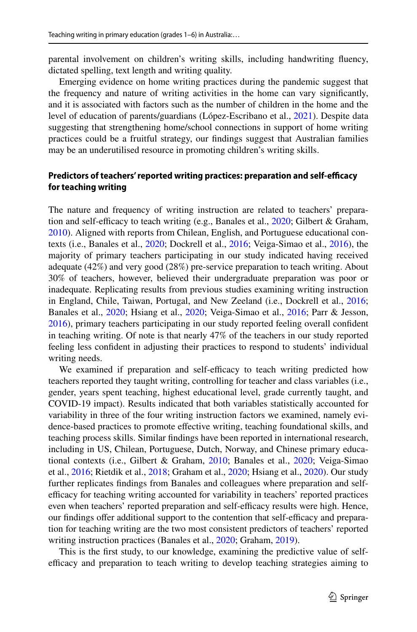parental involvement on children's writing skills, including handwriting fuency, dictated spelling, text length and writing quality.

Emerging evidence on home writing practices during the pandemic suggest that the frequency and nature of writing activities in the home can vary signifcantly, and it is associated with factors such as the number of children in the home and the level of education of parents/guardians (López-Escribano et al., [2021\)](#page-25-19). Despite data suggesting that strengthening home/school connections in support of home writing practices could be a fruitful strategy, our fndings suggest that Australian families may be an underutilised resource in promoting children's writing skills.

## Predictors of teachers' reported writing practices: preparation and self-efficacy **for teaching writing**

The nature and frequency of writing instruction are related to teachers' preparation and self-efficacy to teach writing (e.g., Banales et al.,  $2020$ ; Gilbert & Graham, [2010](#page-24-3)). Aligned with reports from Chilean, English, and Portuguese educational contexts (i.e., Banales et al., [2020](#page-24-0); Dockrell et al., [2016;](#page-24-4) Veiga-Simao et al., [2016](#page-26-1)), the majority of primary teachers participating in our study indicated having received adequate (42%) and very good (28%) pre-service preparation to teach writing. About 30% of teachers, however, believed their undergraduate preparation was poor or inadequate. Replicating results from previous studies examining writing instruction in England, Chile, Taiwan, Portugal, and New Zeeland (i.e., Dockrell et al., [2016;](#page-24-4) Banales et al., [2020;](#page-24-0) Hsiang et al., [2020](#page-25-5); Veiga-Simao et al., [2016;](#page-26-1) Parr & Jesson, [2016](#page-26-6)), primary teachers participating in our study reported feeling overall confdent in teaching writing. Of note is that nearly 47% of the teachers in our study reported feeling less confdent in adjusting their practices to respond to students' individual writing needs.

We examined if preparation and self-efficacy to teach writing predicted how teachers reported they taught writing, controlling for teacher and class variables (i.e., gender, years spent teaching, highest educational level, grade currently taught, and COVID-19 impact). Results indicated that both variables statistically accounted for variability in three of the four writing instruction factors we examined, namely evidence-based practices to promote efective writing, teaching foundational skills, and teaching process skills. Similar fndings have been reported in international research, including in US, Chilean, Portuguese, Dutch, Norway, and Chinese primary educational contexts (i.e., Gilbert & Graham, [2010;](#page-24-3) Banales et al., [2020;](#page-24-0) Veiga-Simao et al., [2016](#page-26-1); Rietdik et al., [2018](#page-25-0); Graham et al., [2020](#page-24-0); Hsiang et al., [2020\)](#page-25-5). Our study further replicates fndings from Banales and colleagues where preparation and selfefficacy for teaching writing accounted for variability in teachers' reported practices even when teachers' reported preparation and self-efficacy results were high. Hence, our findings offer additional support to the contention that self-efficacy and preparation for teaching writing are the two most consistent predictors of teachers' reported writing instruction practices (Banales et al., [2020;](#page-24-0) Graham, [2019](#page-25-3)).

This is the frst study, to our knowledge, examining the predictive value of selfefficacy and preparation to teach writing to develop teaching strategies aiming to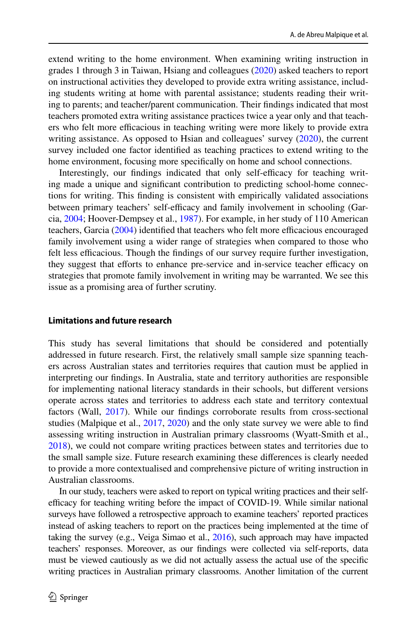extend writing to the home environment. When examining writing instruction in grades 1 through 3 in Taiwan, Hsiang and colleagues [\(2020](#page-25-5)) asked teachers to report on instructional activities they developed to provide extra writing assistance, including students writing at home with parental assistance; students reading their writing to parents; and teacher/parent communication. Their fndings indicated that most teachers promoted extra writing assistance practices twice a year only and that teachers who felt more efficacious in teaching writing were more likely to provide extra writing assistance. As opposed to Hsian and colleagues' survey [\(2020](#page-25-5)), the current survey included one factor identifed as teaching practices to extend writing to the home environment, focusing more specifcally on home and school connections.

Interestingly, our findings indicated that only self-efficacy for teaching writing made a unique and signifcant contribution to predicting school-home connections for writing. This fnding is consistent with empirically validated associations between primary teachers' self-efficacy and family involvement in schooling (Garcia, [2004;](#page-24-16) Hoover-Dempsey et al., [1987](#page-25-20)). For example, in her study of 110 American teachers, Garcia  $(2004)$  $(2004)$  identified that teachers who felt more efficacious encouraged family involvement using a wider range of strategies when compared to those who felt less efficacious. Though the findings of our survey require further investigation, they suggest that efforts to enhance pre-service and in-service teacher efficacy on strategies that promote family involvement in writing may be warranted. We see this issue as a promising area of further scrutiny.

#### **Limitations and future research**

This study has several limitations that should be considered and potentially addressed in future research. First, the relatively small sample size spanning teachers across Australian states and territories requires that caution must be applied in interpreting our fndings. In Australia, state and territory authorities are responsible for implementing national literacy standards in their schools, but diferent versions operate across states and territories to address each state and territory contextual factors (Wall, [2017](#page-26-16)). While our fndings corroborate results from cross-sectional studies (Malpique et al., [2017](#page-25-6), [2020](#page-25-7)) and the only state survey we were able to fnd assessing writing instruction in Australian primary classrooms (Wyatt-Smith et al., [2018](#page-26-7)), we could not compare writing practices between states and territories due to the small sample size. Future research examining these diferences is clearly needed to provide a more contextualised and comprehensive picture of writing instruction in Australian classrooms.

In our study, teachers were asked to report on typical writing practices and their selfefficacy for teaching writing before the impact of COVID-19. While similar national surveys have followed a retrospective approach to examine teachers' reported practices instead of asking teachers to report on the practices being implemented at the time of taking the survey (e.g., Veiga Simao et al., [2016\)](#page-26-1), such approach may have impacted teachers' responses. Moreover, as our fndings were collected via self-reports, data must be viewed cautiously as we did not actually assess the actual use of the specifc writing practices in Australian primary classrooms. Another limitation of the current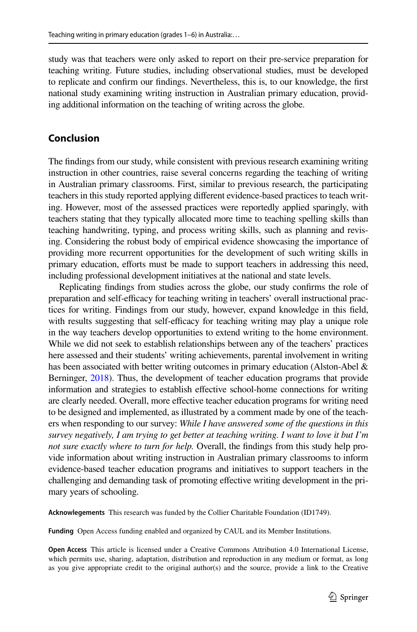study was that teachers were only asked to report on their pre-service preparation for teaching writing. Future studies, including observational studies, must be developed to replicate and confrm our fndings. Nevertheless, this is, to our knowledge, the frst national study examining writing instruction in Australian primary education, providing additional information on the teaching of writing across the globe.

## **Conclusion**

The fndings from our study, while consistent with previous research examining writing instruction in other countries, raise several concerns regarding the teaching of writing in Australian primary classrooms. First, similar to previous research, the participating teachers in this study reported applying diferent evidence-based practices to teach writing. However, most of the assessed practices were reportedly applied sparingly, with teachers stating that they typically allocated more time to teaching spelling skills than teaching handwriting, typing, and process writing skills, such as planning and revising. Considering the robust body of empirical evidence showcasing the importance of providing more recurrent opportunities for the development of such writing skills in primary education, eforts must be made to support teachers in addressing this need, including professional development initiatives at the national and state levels.

Replicating fndings from studies across the globe, our study confrms the role of preparation and self-efficacy for teaching writing in teachers' overall instructional practices for writing. Findings from our study, however, expand knowledge in this feld, with results suggesting that self-efficacy for teaching writing may play a unique role in the way teachers develop opportunities to extend writing to the home environment. While we did not seek to establish relationships between any of the teachers' practices here assessed and their students' writing achievements, parental involvement in writing has been associated with better writing outcomes in primary education (Alston-Abel & Berninger, [2018\)](#page-24-17). Thus, the development of teacher education programs that provide information and strategies to establish effective school-home connections for writing are clearly needed. Overall, more efective teacher education programs for writing need to be designed and implemented, as illustrated by a comment made by one of the teachers when responding to our survey: *While I have answered some of the questions in this survey negatively, I am trying to get better at teaching writing. I want to love it but I'm not sure exactly where to turn for help.* Overall, the fndings from this study help provide information about writing instruction in Australian primary classrooms to inform evidence-based teacher education programs and initiatives to support teachers in the challenging and demanding task of promoting efective writing development in the primary years of schooling.

**Acknowlegements** This research was funded by the Collier Charitable Foundation (ID1749).

**Funding** Open Access funding enabled and organized by CAUL and its Member Institutions.

**Open Access** This article is licensed under a Creative Commons Attribution 4.0 International License, which permits use, sharing, adaptation, distribution and reproduction in any medium or format, as long as you give appropriate credit to the original author(s) and the source, provide a link to the Creative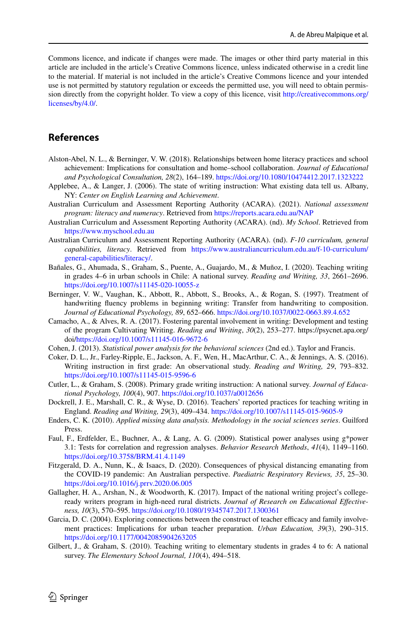Commons licence, and indicate if changes were made. The images or other third party material in this article are included in the article's Creative Commons licence, unless indicated otherwise in a credit line to the material. If material is not included in the article's Creative Commons licence and your intended use is not permitted by statutory regulation or exceeds the permitted use, you will need to obtain permission directly from the copyright holder. To view a copy of this licence, visit [http://creativecommons.org/](http://creativecommons.org/licenses/by/4.0/) [licenses/by/4.0/.](http://creativecommons.org/licenses/by/4.0/)

## **References**

- <span id="page-24-17"></span>Alston-Abel, N. L., & Berninger, V. W. (2018). Relationships between home literacy practices and school achievement: Implications for consultation and home–school collaboration. *Journal of Educational and Psychological Consultation, 28*(2), 164–189. <https://doi.org/10.1080/10474412.2017.1323222>
- <span id="page-24-12"></span>Applebee, A., & Langer, J. (2006). The state of writing instruction: What existing data tell us. Albany, NY: *Center on English Learning and Achievement*.
- <span id="page-24-2"></span>Australian Curriculum and Assessment Reporting Authority (ACARA). (2021). *National assessment program: literacy and numeracy*. Retrieved from <https://reports.acara.edu.au/NAP>
- <span id="page-24-7"></span>Australian Curriculum and Assessment Reporting Authority (ACARA). (nd). *My School*. Retrieved from <https://www.myschool.edu.au>
- <span id="page-24-10"></span>Australian Curriculum and Assessment Reporting Authority (ACARA). (nd). *F-10 curriculum, general capabilities, literacy*. Retrieved from [https://www.australiancurriculum.edu.au/f-10-curriculum/](https://www.australiancurriculum.edu.au/f-10-curriculum/general-capabilities/literacy/) [general-capabilities/literacy/.](https://www.australiancurriculum.edu.au/f-10-curriculum/general-capabilities/literacy/)
- <span id="page-24-0"></span>Bañales, G., Ahumada, S., Graham, S., Puente, A., Guajardo, M., & Muñoz, I. (2020). Teaching writing in grades 4–6 in urban schools in Chile: A national survey. *Reading and Writing, 33*, 2661–2696. <https://doi.org/10.1007/s11145-020-10055-z>
- <span id="page-24-14"></span>Berninger, V. W., Vaughan, K., Abbott, R., Abbott, S., Brooks, A., & Rogan, S. (1997). Treatment of handwriting fuency problems in beginning writing: Transfer from handwriting to composition. *Journal of Educational Psychology, 89*, 652–666. <https://doi.org/10.1037/0022-0663.89.4.652>
- <span id="page-24-15"></span>Camacho, A., & Alves, R. A. (2017). Fostering parental involvement in writing: Development and testing of the program Cultivating Writing. *Reading and Writing*, *30*(2), 253–277. https://psycnet.apa.org/ doi[/https://doi.org/10.1007/s11145-016-9672-6](https://doi.org/10.1007/s11145-016-9672-6)
- <span id="page-24-9"></span>Cohen, J. (2013). *Statistical power analysis for the behavioral sciences* (2nd ed.). Taylor and Francis.
- <span id="page-24-13"></span>Coker, D. L., Jr., Farley-Ripple, E., Jackson, A. F., Wen, H., MacArthur, C. A., & Jennings, A. S. (2016). Writing instruction in frst grade: An observational study. *Reading and Writing, 29*, 793–832. <https://doi.org/10.1007/s11145-015-9596-6>
- <span id="page-24-1"></span>Cutler, L., & Graham, S. (2008). Primary grade writing instruction: A national survey. *Journal of Educational Psychology, 100*(4), 907. <https://doi.org/10.1037/a0012656>
- <span id="page-24-4"></span>Dockrell, J. E., Marshall, C. R., & Wyse, D. (2016). Teachers' reported practices for teaching writing in England. *Reading and Writing, 29*(3), 409–434. <https://doi.org/10.1007/s11145-015-9605-9>
- <span id="page-24-11"></span>Enders, C. K. (2010). *Applied missing data analysis. Methodology in the social sciences series*. Guilford Press.
- <span id="page-24-8"></span>Faul, F., Erdfelder, E., Buchner, A., & Lang, A. G. (2009). Statistical power analyses using g\*power 3.1: Tests for correlation and regression analyses. *Behavior Research Methods*, *41*(4), 1149–1160. <https://doi.org/10.3758/BRM.41.4.1149>
- <span id="page-24-5"></span>Fitzgerald, D. A., Nunn, K., & Isaacs, D. (2020). Consequences of physical distancing emanating from the COVID-19 pandemic: An Australian perspective. *Paediatric Respiratory Reviews, 35*, 25–30. <https://doi.org/10.1016/j.prrv.2020.06.005>
- <span id="page-24-6"></span>Gallagher, H. A., Arshan, N., & Woodworth, K. (2017). Impact of the national writing project's collegeready writers program in high-need rural districts. *Journal of Research on Educational Efectiveness, 10*(3), 570–595.<https://doi.org/10.1080/19345747.2017.1300361>
- <span id="page-24-16"></span>Garcia, D. C. (2004). Exploring connections between the construct of teacher efficacy and family involvement practices: Implications for urban teacher preparation. *Urban Education, 39*(3), 290–315. <https://doi.org/10.1177/0042085904263205>
- <span id="page-24-3"></span>Gilbert, J., & Graham, S. (2010). Teaching writing to elementary students in grades 4 to 6: A national survey. *The Elementary School Journal, 110*(4), 494–518.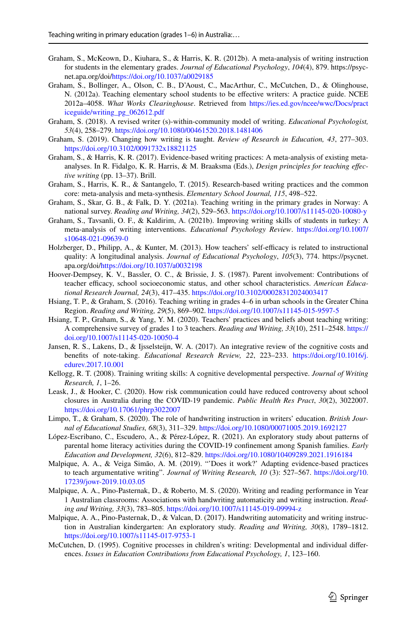- <span id="page-25-10"></span>Graham, S., McKeown, D., Kiuhara, S., & Harris, K. R. (2012b). A meta-analysis of writing instruction for students in the elementary grades. *Journal of Educational Psychology*, *104*(4), 879. https://psycnet.apa.org/doi[/https://doi.org/10.1037/a0029185](https://doi.org/10.1037/a0029185)
- <span id="page-25-9"></span>Graham, S., Bollinger, A., Olson, C. B., D'Aoust, C., MacArthur, C., McCutchen, D., & Olinghouse, N. (2012a). Teaching elementary school students to be efective writers: A practice guide. NCEE 2012a–4058. *What Works Clearinghouse*. Retrieved from [https://ies.ed.gov/ncee/wwc/Docs/pract](https://ies.ed.gov/ncee/wwc/Docs/practiceguide/writing_pg_062612.pdf) [iceguide/writing\\_pg\\_062612.pdf](https://ies.ed.gov/ncee/wwc/Docs/practiceguide/writing_pg_062612.pdf)
- <span id="page-25-0"></span>Graham, S. (2018). A revised writer (s)-within-community model of writing. *Educational Psychologist, 53*(4), 258–279.<https://doi.org/10.1080/00461520.2018.1481406>
- <span id="page-25-3"></span>Graham, S. (2019). Changing how writing is taught. *Review of Research in Education, 43*, 277–303. <https://doi.org/10.3102/0091732x18821125>
- <span id="page-25-13"></span>Graham, S., & Harris, K. R. (2017). Evidence-based writing practices: A meta-analysis of existing metaanalyses. In R. Fidalgo, K. R. Harris, & M. Braaksma (Eds.), *Design principles for teaching efective writing* (pp. 13–37). Brill.
- <span id="page-25-8"></span>Graham, S., Harris, K. R., & Santangelo, T. (2015). Research-based writing practices and the common core: meta-analysis and meta-synthesis. *Elementary School Journal, 115*, 498–522.
- <span id="page-25-1"></span>Graham, S., Skar, G. B., & Falk, D. Y. (2021a). Teaching writing in the primary grades in Norway: A national survey. *Reading and Writing, 34*(2), 529–563.<https://doi.org/10.1007/s11145-020-10080-y>
- <span id="page-25-2"></span>Graham, S., Tavsanli, O. F., & Kaldirim, A. (2021b). Improving writing skills of students in turkey: A meta-analysis of writing interventions. *Educational Psychology Review*. [https://doi.org/10.1007/](https://doi.org/10.1007/s10648-021-09639-0) [s10648-021-09639-0](https://doi.org/10.1007/s10648-021-09639-0)
- <span id="page-25-12"></span>Holzberger, D., Philipp, A., & Kunter, M. (2013). How teachers' self-efficacy is related to instructional quality: A longitudinal analysis. *Journal of Educational Psychology*, *105*(3), 774. https://psycnet. apa.org/doi[/https://doi.org/10.1037/a0032198](https://doi.org/10.1037/a0032198)
- <span id="page-25-20"></span>Hoover-Dempsey, K. V., Bassler, O. C., & Brissie, J. S. (1987). Parent involvement: Contributions of teacher efficacy, school socioeconomic status, and other school characteristics. *American Educational Research Journal, 24*(3), 417–435.<https://doi.org/10.3102/00028312024003417>
- <span id="page-25-4"></span>Hsiang, T. P., & Graham, S. (2016). Teaching writing in grades 4–6 in urban schools in the Greater China Region. *Reading and Writing, 29*(5), 869–902.<https://doi.org/10.1007/s11145-015-9597-5>
- <span id="page-25-5"></span>Hsiang, T. P., Graham, S., & Yang, Y. M. (2020). Teachers' practices and beliefs about teaching writing: A comprehensive survey of grades 1 to 3 teachers. *Reading and Writing, 33*(10), 2511–2548. [https://](https://doi.org/10.1007/s11145-020-10050-4) [doi.org/10.1007/s11145-020-10050-4](https://doi.org/10.1007/s11145-020-10050-4)
- <span id="page-25-18"></span>Jansen, R. S., Lakens, D., & Ijsselsteijn, W. A. (2017). An integrative review of the cognitive costs and benefts of note-taking. *Educational Research Review, 22*, 223–233. [https://doi.org/10.1016/j.](https://doi.org/10.1016/j.edurev.2017.10.001) [edurev.2017.10.001](https://doi.org/10.1016/j.edurev.2017.10.001)
- <span id="page-25-14"></span>Kellogg, R. T. (2008). Training writing skills: A cognitive developmental perspective. *Journal of Writing Research, 1*, 1–26.
- <span id="page-25-11"></span>Leask, J., & Hooker, C. (2020). How risk communication could have reduced controversy about school closures in Australia during the COVID-19 pandemic. *Public Health Res Pract*, *30*(2), 3022007. <https://doi.org/10.17061/phrp3022007>
- <span id="page-25-16"></span>Limpo, T., & Graham, S. (2020). The role of handwriting instruction in writers' education. *British Journal of Educational Studies, 68*(3), 311–329.<https://doi.org/10.1080/00071005.2019.1692127>
- <span id="page-25-19"></span>López-Escribano, C., Escudero, A., & Pérez-López, R. (2021). An exploratory study about patterns of parental home literacy activities during the COVID-19 confnement among Spanish families. *Early Education and Development, 32*(6), 812–829.<https://doi.org/10.1080/10409289.2021.1916184>
- <span id="page-25-15"></span>Malpique, A. A., & Veiga Simão, A. M. (2019). "'Does it work?' Adapting evidence-based practices to teach argumentative writing". *Journal of Writing Research, 10* (3): 527–567. [https://doi.org/10.](https://doi.org/10.17239/jowr-2019.10.03.05) [17239/jowr-2019.10.03.05](https://doi.org/10.17239/jowr-2019.10.03.05)
- <span id="page-25-7"></span>Malpique, A. A., Pino-Pasternak, D., & Roberto, M. S. (2020). Writing and reading performance in Year 1 Australian classrooms: Associations with handwriting automaticity and writing instruction. *Reading and Writing, 33*(3), 783–805. <https://doi.org/10.1007/s11145-019-09994-z>
- <span id="page-25-6"></span>Malpique, A. A., Pino-Pasternak, D., & Valcan, D. (2017). Handwriting automaticity and writing instruction in Australian kindergarten: An exploratory study. *Reading and Writing, 30*(8), 1789–1812. <https://doi.org/10.1007/s11145-017-9753-1>
- <span id="page-25-17"></span>McCutchen, D. (1995). Cognitive processes in children's writing: Developmental and individual diferences. *Issues in Education Contributions from Educational Psychology, 1*, 123–160.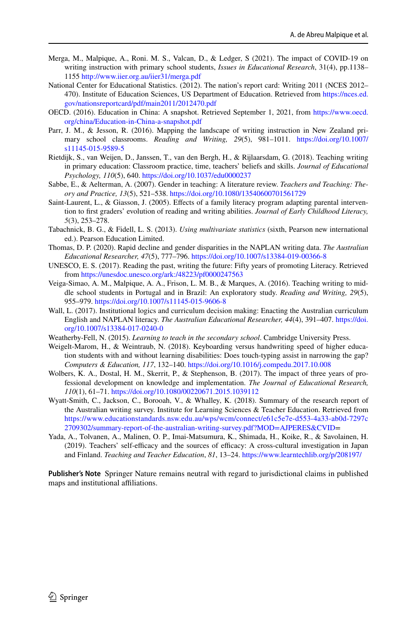- <span id="page-26-8"></span>Merga, M., Malpique, A., Roni. M. S., Valcan, D., & Ledger, S (2021). The impact of COVID-19 on writing instruction with primary school students, *Issues in Educational Research*, 31(4), pp.1138– 1155<http://www.iier.org.au/iier31/merga.pdf>
- <span id="page-26-2"></span>National Center for Educational Statistics. (2012). The nation's report card: Writing 2011 (NCES 2012– 470). Institute of Education Sciences, US Department of Education. Retrieved from [https://nces.ed.](https://nces.ed.gov/nationsreportcard/pdf/main2011/2012470.pdf) [gov/nationsreportcard/pdf/main2011/2012470.pdf](https://nces.ed.gov/nationsreportcard/pdf/main2011/2012470.pdf)
- <span id="page-26-5"></span>OECD. (2016). Education in China: A snapshot. Retrieved September 1, 2021, from [https://www.oecd.](https://www.oecd.org/china/Education-in-China-a-snapshot.pdf) [org/china/Education-in-China-a-snapshot.pdf](https://www.oecd.org/china/Education-in-China-a-snapshot.pdf)
- <span id="page-26-6"></span>Parr, J. M., & Jesson, R. (2016). Mapping the landscape of writing instruction in New Zealand primary school classrooms. *Reading and Writing, 29*(5), 981–1011. [https://doi.org/10.1007/](https://doi.org/10.1007/s11145-015-9589-5) [s11145-015-9589-5](https://doi.org/10.1007/s11145-015-9589-5)
- <span id="page-26-4"></span>Rietdijk, S., van Weijen, D., Janssen, T., van den Bergh, H., & Rijlaarsdam, G. (2018). Teaching writing in primary education: Classroom practice, time, teachers' beliefs and skills. *Journal of Educational Psychology, 110*(5), 640. <https://doi.org/10.1037/edu0000237>
- <span id="page-26-11"></span>Sabbe, E., & Aelterman, A. (2007). Gender in teaching: A literature review. *Teachers and Teaching: Theory and Practice, 13*(5), 521–538.<https://doi.org/10.1080/13540600701561729>
- <span id="page-26-15"></span>Saint-Laurent, L., & Giasson, J. (2005). Efects of a family literacy program adapting parental intervention to frst graders' evolution of reading and writing abilities. *Journal of Early Childhood Literacy, 5*(3), 253–278.
- <span id="page-26-13"></span>Tabachnick, B. G., & Fidell, L. S. (2013). *Using multivariate statistics* (sixth, Pearson new international ed.). Pearson Education Limited.
- <span id="page-26-3"></span>Thomas, D. P. (2020). Rapid decline and gender disparities in the NAPLAN writing data. *The Australian Educational Researcher, 47*(5), 777–796. <https://doi.org/10.1007/s13384-019-00366-8>
- <span id="page-26-0"></span>UNESCO, E. S. (2017). Reading the past, writing the future: Fifty years of promoting Literacy. Retrieved from <https://unesdoc.unesco.org/ark:/48223/pf0000247563>
- <span id="page-26-1"></span>Veiga-Simao, A. M., Malpique, A. A., Frison, L. M. B., & Marques, A. (2016). Teaching writing to middle school students in Portugal and in Brazil: An exploratory study. *Reading and Writing, 29*(5), 955–979.<https://doi.org/10.1007/s11145-015-9606-8>
- <span id="page-26-16"></span>Wall, L. (2017). Institutional logics and curriculum decision making: Enacting the Australian curriculum English and NAPLAN literacy. *The Australian Educational Researcher, 44*(4), 391–407. [https://doi.](https://doi.org/10.1007/s13384-017-0240-0) [org/10.1007/s13384-017-0240-0](https://doi.org/10.1007/s13384-017-0240-0)
- <span id="page-26-12"></span>Weatherby-Fell, N. (2015). *Learning to teach in the secondary school*. Cambridge University Press.
- <span id="page-26-14"></span>Weigelt-Marom, H., & Weintraub, N. (2018). Keyboarding versus handwriting speed of higher education students with and without learning disabilities: Does touch-typing assist in narrowing the gap? *Computers & Education, 117*, 132–140.<https://doi.org/10.1016/j.compedu.2017.10.008>
- <span id="page-26-9"></span>Wolbers, K. A., Dostal, H. M., Skerrit, P., & Stephenson, B. (2017). The impact of three years of professional development on knowledge and implementation. *The Journal of Educational Research, 110*(1), 61–71.<https://doi.org/10.1080/00220671.2015.1039112>
- <span id="page-26-7"></span>Wyatt-Smith, C., Jackson, C., Borooah, V., & Whalley, K. (2018). Summary of the research report of the Australian writing survey. Institute for Learning Sciences & Teacher Education. Retrieved from [https://www.educationstandards.nsw.edu.au/wps/wcm/connect/e61c5e7e-d553-4a33-ab0d-7297c](https://www.educationstandards.nsw.edu.au/wps/wcm/connect/e61c5e7e-d553-4a33-ab0d-7297c2709302/summary-report-of-the-australian-writing-survey.pdf?MOD=AJPERES&CVID) [2709302/summary-report-of-the-australian-writing-survey.pdf?MOD=AJPERES&CVID=](https://www.educationstandards.nsw.edu.au/wps/wcm/connect/e61c5e7e-d553-4a33-ab0d-7297c2709302/summary-report-of-the-australian-writing-survey.pdf?MOD=AJPERES&CVID)
- <span id="page-26-10"></span>Yada, A., Tolvanen, A., Malinen, O. P., Imai-Matsumura, K., Shimada, H., Koike, R., & Savolainen, H. (2019). Teachers' self-efficacy and the sources of efficacy: A cross-cultural investigation in Japan and Finland. *Teaching and Teacher Education*, *81*, 13–24.<https://www.learntechlib.org/p/208197/>

**Publisher's Note** Springer Nature remains neutral with regard to jurisdictional claims in published maps and institutional affiliations.